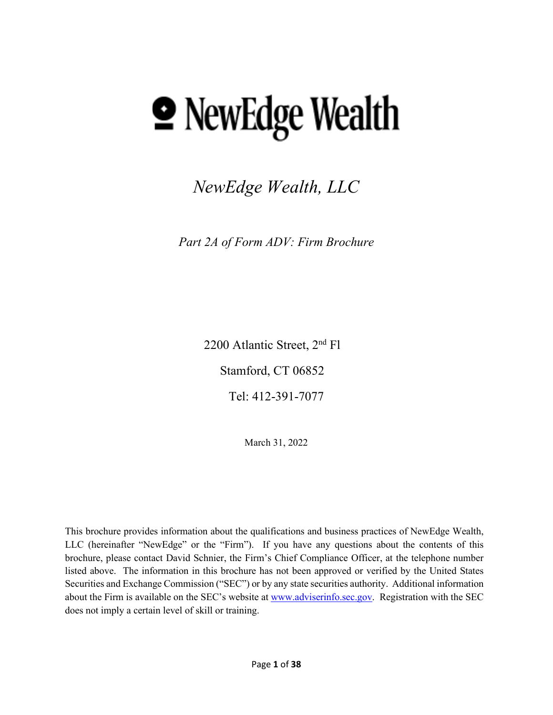# **• NewEdge Wealth**

*NewEdge Wealth, LLC*

*Part 2A of Form ADV: Firm Brochure*

2200 Atlantic Street, 2nd Fl

Stamford, CT 06852

Tel: 412-391-7077

March 31, 2022

This brochure provides information about the qualifications and business practices of NewEdge Wealth, LLC (hereinafter "NewEdge" or the "Firm"). If you have any questions about the contents of this brochure, please contact David Schnier, the Firm's Chief Compliance Officer, at the telephone number listed above. The information in this brochure has not been approved or verified by the United States Securities and Exchange Commission ("SEC") or by any state securities authority. Additional information about the Firm is available on the SEC's website at [www.adviserinfo.sec.gov.](http://www.adviserinfo.sec.gov/) Registration with the SEC does not imply a certain level of skill or training.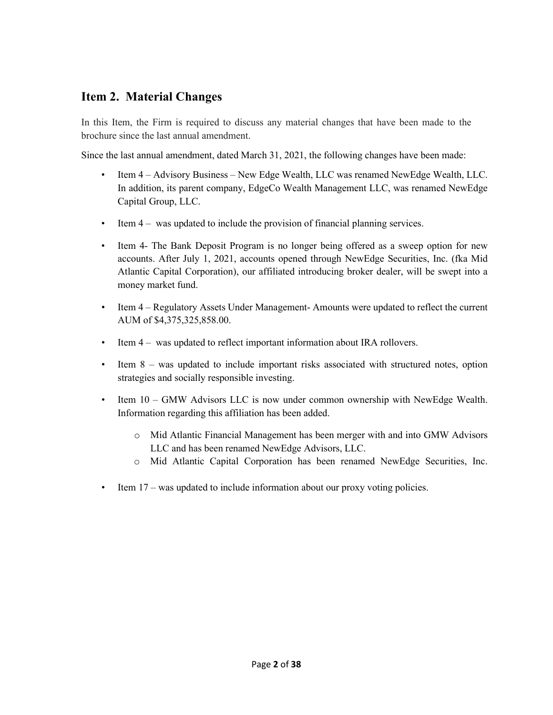# <span id="page-1-0"></span>**Item 2. Material Changes**

In this Item, the Firm is required to discuss any material changes that have been made to the brochure since the last annual amendment.

Since the last annual amendment, dated March 31, 2021, the following changes have been made:

- Item 4 Advisory Business New Edge Wealth, LLC was renamed NewEdge Wealth, LLC. In addition, its parent company, EdgeCo Wealth Management LLC, was renamed NewEdge Capital Group, LLC.
- Item 4 was updated to include the provision of financial planning services.
- Item 4- The Bank Deposit Program is no longer being offered as a sweep option for new accounts. After July 1, 2021, accounts opened through NewEdge Securities, Inc. (fka Mid Atlantic Capital Corporation), our affiliated introducing broker dealer, will be swept into a money market fund.
- Item 4 Regulatory Assets Under Management-Amounts were updated to reflect the current AUM of \$4,375,325,858.00.
- Item 4 was updated to reflect important information about IRA rollovers.
- Item 8 was updated to include important risks associated with structured notes, option strategies and socially responsible investing.
- Item  $10 GMW$  Advisors LLC is now under common ownership with NewEdge Wealth. Information regarding this affiliation has been added.
	- o Mid Atlantic Financial Management has been merger with and into GMW Advisors LLC and has been renamed NewEdge Advisors, LLC.
	- o Mid Atlantic Capital Corporation has been renamed NewEdge Securities, Inc.
- Item 17 was updated to include information about our proxy voting policies.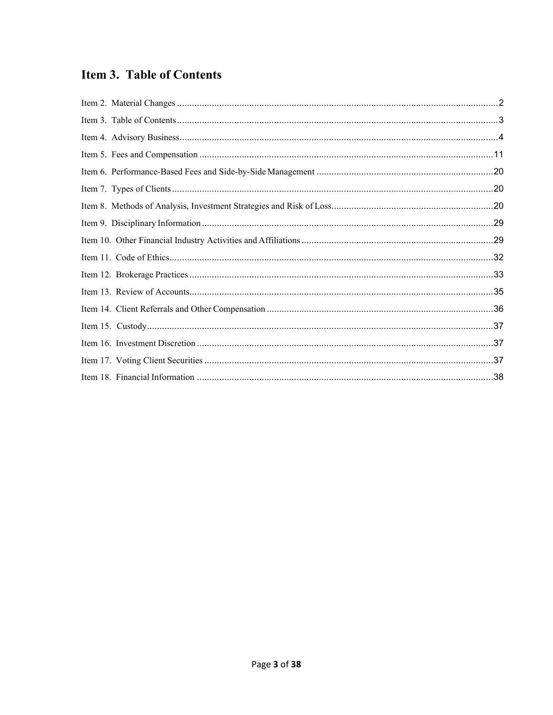# <span id="page-2-0"></span>**Item 3. Table of Contents**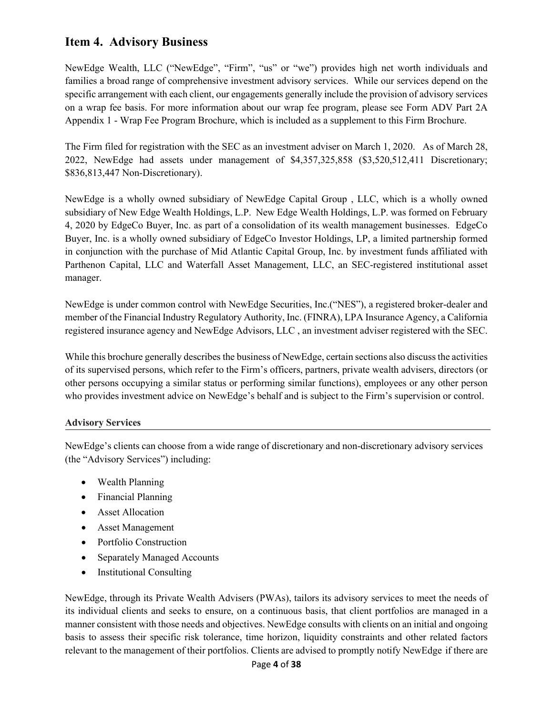# <span id="page-3-0"></span>**Item 4. Advisory Business**

NewEdge Wealth, LLC ("NewEdge", "Firm", "us" or "we") provides high net worth individuals and families a broad range of comprehensive investment advisory services. While our services depend on the specific arrangement with each client, our engagements generally include the provision of advisory services on a wrap fee basis. For more information about our wrap fee program, please see Form ADV Part 2A Appendix 1 - Wrap Fee Program Brochure, which is included as a supplement to this Firm Brochure.

The Firm filed for registration with the SEC as an investment adviser on March 1, 2020. As of March 28, 2022, NewEdge had assets under management of \$4,357,325,858 (\$3,520,512,411 Discretionary; \$836,813,447 Non-Discretionary).

NewEdge is a wholly owned subsidiary of NewEdge Capital Group , LLC, which is a wholly owned subsidiary of New Edge Wealth Holdings, L.P. New Edge Wealth Holdings, L.P. was formed on February 4, 2020 by EdgeCo Buyer, Inc. as part of a consolidation of its wealth management businesses. EdgeCo Buyer, Inc. is a wholly owned subsidiary of EdgeCo Investor Holdings, LP, a limited partnership formed in conjunction with the purchase of Mid Atlantic Capital Group, Inc. by investment funds affiliated with Parthenon Capital, LLC and Waterfall Asset Management, LLC, an SEC-registered institutional asset manager.

NewEdge is under common control with NewEdge Securities, Inc.("NES"), a registered broker-dealer and member of the Financial Industry Regulatory Authority, Inc. (FINRA), LPA Insurance Agency, a California registered insurance agency and NewEdge Advisors, LLC , an investment adviser registered with the SEC.

While this brochure generally describes the business of NewEdge, certain sections also discuss the activities of its supervised persons, which refer to the Firm's officers, partners, private wealth advisers, directors (or other persons occupying a similar status or performing similar functions), employees or any other person who provides investment advice on NewEdge's behalf and is subject to the Firm's supervision or control.

#### **Advisory Services**

NewEdge's clients can choose from a wide range of discretionary and non-discretionary advisory services (the "Advisory Services") including:

- Wealth Planning
- Financial Planning
- Asset Allocation
- Asset Management
- Portfolio Construction
- Separately Managed Accounts
- Institutional Consulting

NewEdge, through its Private Wealth Advisers (PWAs), tailors its advisory services to meet the needs of its individual clients and seeks to ensure, on a continuous basis, that client portfolios are managed in a manner consistent with those needs and objectives. NewEdge consults with clients on an initial and ongoing basis to assess their specific risk tolerance, time horizon, liquidity constraints and other related factors relevant to the management of their portfolios. Clients are advised to promptly notify NewEdge if there are

#### Page **4** of **38**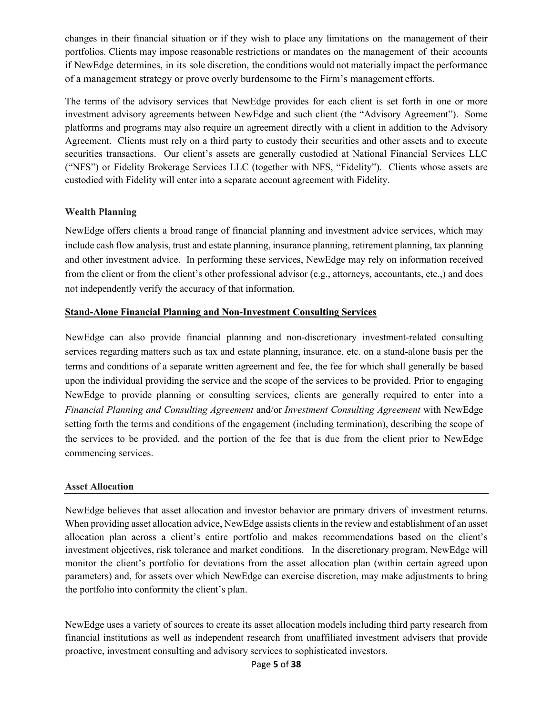changes in their financial situation or if they wish to place any limitations on the management of their portfolios. Clients may impose reasonable restrictions or mandates on the management of their accounts if NewEdge determines, in its sole discretion, the conditions would not materially impact the performance of a management strategy or prove overly burdensome to the Firm's management efforts.

The terms of the advisory services that NewEdge provides for each client is set forth in one or more investment advisory agreements between NewEdge and such client (the "Advisory Agreement"). Some platforms and programs may also require an agreement directly with a client in addition to the Advisory Agreement. Clients must rely on a third party to custody their securities and other assets and to execute securities transactions. Our client's assets are generally custodied at National Financial Services LLC ("NFS") or Fidelity Brokerage Services LLC (together with NFS, "Fidelity"). Clients whose assets are custodied with Fidelity will enter into a separate account agreement with Fidelity.

#### **Wealth Planning**

NewEdge offers clients a broad range of financial planning and investment advice services, which may include cash flow analysis, trust and estate planning, insurance planning, retirement planning, tax planning and other investment advice. In performing these services, NewEdge may rely on information received from the client or from the client's other professional advisor (e.g., attorneys, accountants, etc.,) and does not independently verify the accuracy of that information.

#### **Stand-Alone Financial Planning and Non-Investment Consulting Services**

NewEdge can also provide financial planning and non-discretionary investment-related consulting services regarding matters such as tax and estate planning, insurance, etc. on a stand-alone basis per the terms and conditions of a separate written agreement and fee, the fee for which shall generally be based upon the individual providing the service and the scope of the services to be provided. Prior to engaging NewEdge to provide planning or consulting services, clients are generally required to enter into a *Financial Planning and Consulting Agreement* and/or *Investment Consulting Agreement* with NewEdge setting forth the terms and conditions of the engagement (including termination), describing the scope of the services to be provided, and the portion of the fee that is due from the client prior to NewEdge commencing services.

#### **Asset Allocation**

NewEdge believes that asset allocation and investor behavior are primary drivers of investment returns. When providing asset allocation advice, NewEdge assists clients in the review and establishment of an asset allocation plan across a client's entire portfolio and makes recommendations based on the client's investment objectives, risk tolerance and market conditions. In the discretionary program, NewEdge will monitor the client's portfolio for deviations from the asset allocation plan (within certain agreed upon parameters) and, for assets over which NewEdge can exercise discretion, may make adjustments to bring the portfolio into conformity the client's plan.

NewEdge uses a variety of sources to create its asset allocation models including third party research from financial institutions as well as independent research from unaffiliated investment advisers that provide proactive, investment consulting and advisory services to sophisticated investors.

#### Page **5** of **38**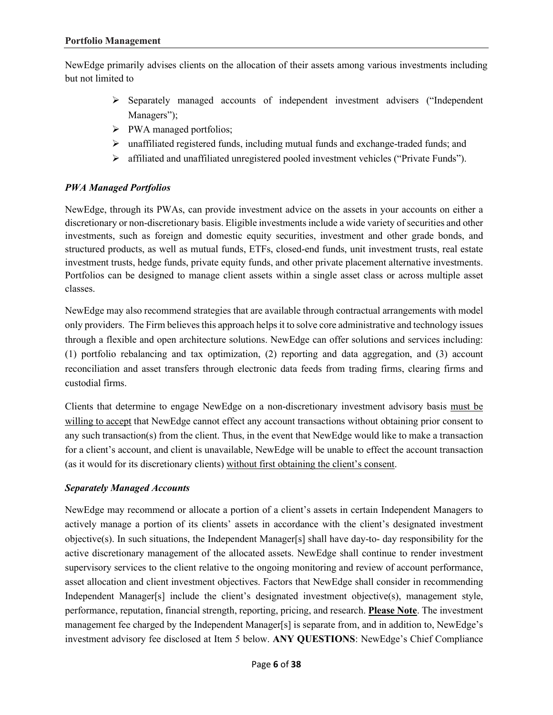NewEdge primarily advises clients on the allocation of their assets among various investments including but not limited to

- $\triangleright$  Separately managed accounts of independent investment advisers ("Independent") Managers");
- > PWA managed portfolios;
- unaffiliated registered funds, including mutual funds and exchange-traded funds; and
- affiliated and unaffiliated unregistered pooled investment vehicles ("Private Funds").

## *PWA Managed Portfolios*

NewEdge, through its PWAs, can provide investment advice on the assets in your accounts on either a discretionary or non-discretionary basis. Eligible investments include a wide variety of securities and other investments, such as foreign and domestic equity securities, investment and other grade bonds, and structured products, as well as mutual funds, ETFs, closed-end funds, unit investment trusts, real estate investment trusts, hedge funds, private equity funds, and other private placement alternative investments. Portfolios can be designed to manage client assets within a single asset class or across multiple asset classes.

NewEdge may also recommend strategies that are available through contractual arrangements with model only providers. The Firm believes this approach helps it to solve core administrative and technology issues through a flexible and open architecture solutions. NewEdge can offer solutions and services including: (1) portfolio rebalancing and tax optimization, (2) reporting and data aggregation, and (3) account reconciliation and asset transfers through electronic data feeds from trading firms, clearing firms and custodial firms.

Clients that determine to engage NewEdge on a non-discretionary investment advisory basis must be willing to accept that NewEdge cannot effect any account transactions without obtaining prior consent to any such transaction(s) from the client. Thus, in the event that NewEdge would like to make a transaction for a client's account, and client is unavailable, NewEdge will be unable to effect the account transaction (as it would for its discretionary clients) without first obtaining the client's consent.

#### *Separately Managed Accounts*

NewEdge may recommend or allocate a portion of a client's assets in certain Independent Managers to actively manage a portion of its clients' assets in accordance with the client's designated investment objective(s). In such situations, the Independent Manager[s] shall have day-to- day responsibility for the active discretionary management of the allocated assets. NewEdge shall continue to render investment supervisory services to the client relative to the ongoing monitoring and review of account performance, asset allocation and client investment objectives. Factors that NewEdge shall consider in recommending Independent Manager[s] include the client's designated investment objective(s), management style, performance, reputation, financial strength, reporting, pricing, and research. **Please Note**. The investment management fee charged by the Independent Manager[s] is separate from, and in addition to, NewEdge's investment advisory fee disclosed at Item 5 below. **ANY QUESTIONS**: NewEdge's Chief Compliance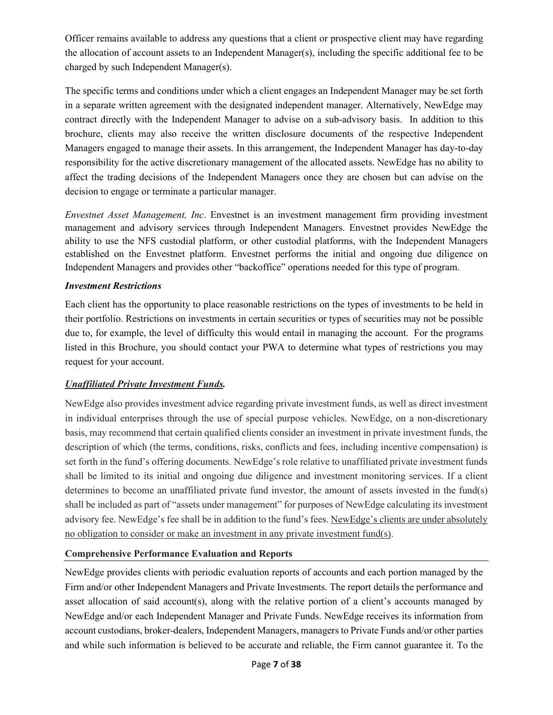Officer remains available to address any questions that a client or prospective client may have regarding the allocation of account assets to an Independent Manager(s), including the specific additional fee to be charged by such Independent Manager(s).

The specific terms and conditions under which a client engages an Independent Manager may be set forth in a separate written agreement with the designated independent manager. Alternatively, NewEdge may contract directly with the Independent Manager to advise on a sub-advisory basis. In addition to this brochure, clients may also receive the written disclosure documents of the respective Independent Managers engaged to manage their assets. In this arrangement, the Independent Manager has day-to-day responsibility for the active discretionary management of the allocated assets. NewEdge has no ability to affect the trading decisions of the Independent Managers once they are chosen but can advise on the decision to engage or terminate a particular manager.

*Envestnet Asset Management, Inc*. Envestnet is an investment management firm providing investment management and advisory services through Independent Managers. Envestnet provides NewEdge the ability to use the NFS custodial platform, or other custodial platforms, with the Independent Managers established on the Envestnet platform. Envestnet performs the initial and ongoing due diligence on Independent Managers and provides other "backoffice" operations needed for this type of program.

#### *Investment Restrictions*

Each client has the opportunity to place reasonable restrictions on the types of investments to be held in their portfolio. Restrictions on investments in certain securities or types of securities may not be possible due to, for example, the level of difficulty this would entail in managing the account. For the programs listed in this Brochure, you should contact your PWA to determine what types of restrictions you may request for your account.

# *Unaffiliated Private Investment Funds.*

NewEdge also provides investment advice regarding private investment funds, as well as direct investment in individual enterprises through the use of special purpose vehicles. NewEdge, on a non-discretionary basis, may recommend that certain qualified clients consider an investment in private investment funds, the description of which (the terms, conditions, risks, conflicts and fees, including incentive compensation) is set forth in the fund's offering documents. NewEdge's role relative to unaffiliated private investment funds shall be limited to its initial and ongoing due diligence and investment monitoring services. If a client determines to become an unaffiliated private fund investor, the amount of assets invested in the fund(s) shall be included as part of "assets under management" for purposes of NewEdge calculating its investment advisory fee. NewEdge's fee shall be in addition to the fund's fees. NewEdge's clients are under absolutely no obligation to consider or make an investment in any private investment fund(s).

# **Comprehensive Performance Evaluation and Reports**

NewEdge provides clients with periodic evaluation reports of accounts and each portion managed by the Firm and/or other Independent Managers and Private Investments. The report details the performance and asset allocation of said account(s), along with the relative portion of a client's accounts managed by NewEdge and/or each Independent Manager and Private Funds. NewEdge receives its information from account custodians, broker-dealers, Independent Managers, managers to Private Funds and/or other parties and while such information is believed to be accurate and reliable, the Firm cannot guarantee it. To the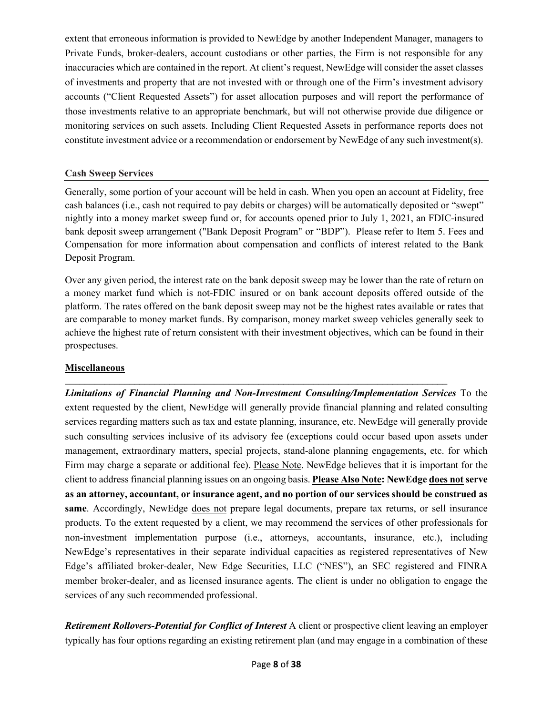extent that erroneous information is provided to NewEdge by another Independent Manager, managers to Private Funds, broker-dealers, account custodians or other parties, the Firm is not responsible for any inaccuracies which are contained in the report. At client's request, NewEdge will consider the asset classes of investments and property that are not invested with or through one of the Firm's investment advisory accounts ("Client Requested Assets") for asset allocation purposes and will report the performance of those investments relative to an appropriate benchmark, but will not otherwise provide due diligence or monitoring services on such assets. Including Client Requested Assets in performance reports does not constitute investment advice or a recommendation or endorsement by NewEdge of any such investment(s).

#### **Cash Sweep Services**

Generally, some portion of your account will be held in cash. When you open an account at Fidelity, free cash balances (i.e., cash not required to pay debits or charges) will be automatically deposited or "swept" nightly into a money market sweep fund or, for accounts opened prior to July 1, 2021, an FDIC-insured bank deposit sweep arrangement ("Bank Deposit Program" or "BDP"). Please refer to Item 5. Fees and Compensation for more information about compensation and conflicts of interest related to the Bank Deposit Program.

Over any given period, the interest rate on the bank deposit sweep may be lower than the rate of return on a money market fund which is not-FDIC insured or on bank account deposits offered outside of the platform. The rates offered on the bank deposit sweep may not be the highest rates available or rates that are comparable to money market funds. By comparison, money market sweep vehicles generally seek to achieve the highest rate of return consistent with their investment objectives, which can be found in their prospectuses.

**\_\_\_\_\_\_\_\_\_\_\_\_\_\_\_\_\_\_\_\_\_\_\_\_\_\_\_\_\_\_\_\_\_\_\_\_\_\_\_\_\_\_\_\_\_\_\_\_\_\_\_\_\_\_\_\_\_\_\_\_\_\_\_\_\_\_\_\_\_\_\_\_\_\_\_\_\_** 

#### **Miscellaneous**

*Limitations of Financial Planning and Non-Investment Consulting/Implementation Services* To the extent requested by the client, NewEdge will generally provide financial planning and related consulting services regarding matters such as tax and estate planning, insurance, etc. NewEdge will generally provide such consulting services inclusive of its advisory fee (exceptions could occur based upon assets under management, extraordinary matters, special projects, stand-alone planning engagements, etc. for which Firm may charge a separate or additional fee). Please Note. NewEdge believes that it is important for the client to address financial planning issues on an ongoing basis. **Please Also Note: NewEdge does not serve as an attorney, accountant, or insurance agent, and no portion of our services should be construed as same**. Accordingly, NewEdge does not prepare legal documents, prepare tax returns, or sell insurance products. To the extent requested by a client, we may recommend the services of other professionals for non-investment implementation purpose (i.e., attorneys, accountants, insurance, etc.), including NewEdge's representatives in their separate individual capacities as registered representatives of New Edge's affiliated broker-dealer, New Edge Securities, LLC ("NES"), an SEC registered and FINRA member broker-dealer, and as licensed insurance agents. The client is under no obligation to engage the services of any such recommended professional.

*Retirement Rollovers-Potential for Conflict of Interest* A client or prospective client leaving an employer typically has four options regarding an existing retirement plan (and may engage in a combination of these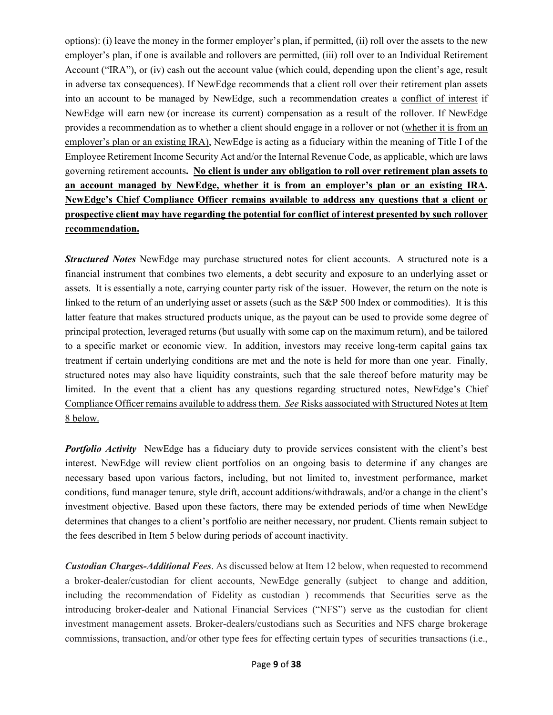options): (i) leave the money in the former employer's plan, if permitted, (ii) roll over the assets to the new employer's plan, if one is available and rollovers are permitted, (iii) roll over to an Individual Retirement Account ("IRA"), or (iv) cash out the account value (which could, depending upon the client's age, result in adverse tax consequences). If NewEdge recommends that a client roll over their retirement plan assets into an account to be managed by NewEdge, such a recommendation creates a conflict of interest if NewEdge will earn new (or increase its current) compensation as a result of the rollover. If NewEdge provides a recommendation as to whether a client should engage in a rollover or not (whether it is from an employer's plan or an existing IRA), NewEdge is acting as a fiduciary within the meaning of Title I of the Employee Retirement Income Security Act and/or the Internal Revenue Code, as applicable, which are laws governing retirement accounts**. No client is under any obligation to roll over retirement plan assets to an account managed by NewEdge, whether it is from an employer's plan or an existing IRA. NewEdge's Chief Compliance Officer remains available to address any questions that a client or prospective client may have regarding the potential for conflict of interest presented by such rollover recommendation.** 

*Structured Notes* NewEdge may purchase structured notes for client accounts. A structured note is a financial instrument that combines two elements, a debt security and exposure to an underlying asset or assets. It is essentially a note, carrying counter party risk of the issuer. However, the return on the note is linked to the return of an underlying asset or assets (such as the S&P 500 Index or commodities). It is this latter feature that makes structured products unique, as the payout can be used to provide some degree of principal protection, leveraged returns (but usually with some cap on the maximum return), and be tailored to a specific market or economic view. In addition, investors may receive long-term capital gains tax treatment if certain underlying conditions are met and the note is held for more than one year. Finally, structured notes may also have liquidity constraints, such that the sale thereof before maturity may be limited. In the event that a client has any questions regarding structured notes, NewEdge's Chief Compliance Officer remains available to address them. *See* Risks aassociated with Structured Notes at Item 8 below.

**Portfolio Activity** NewEdge has a fiduciary duty to provide services consistent with the client's best interest. NewEdge will review client portfolios on an ongoing basis to determine if any changes are necessary based upon various factors, including, but not limited to, investment performance, market conditions, fund manager tenure, style drift, account additions/withdrawals, and/or a change in the client's investment objective. Based upon these factors, there may be extended periods of time when NewEdge determines that changes to a client's portfolio are neither necessary, nor prudent. Clients remain subject to the fees described in Item 5 below during periods of account inactivity.

*Custodian Charges-Additional Fees*. As discussed below at Item 12 below, when requested to recommend a broker-dealer/custodian for client accounts, NewEdge generally (subject to change and addition, including the recommendation of Fidelity as custodian ) recommends that Securities serve as the introducing broker-dealer and National Financial Services ("NFS") serve as the custodian for client investment management assets. Broker-dealers/custodians such as Securities and NFS charge brokerage commissions, transaction, and/or other type fees for effecting certain types of securities transactions (i.e.,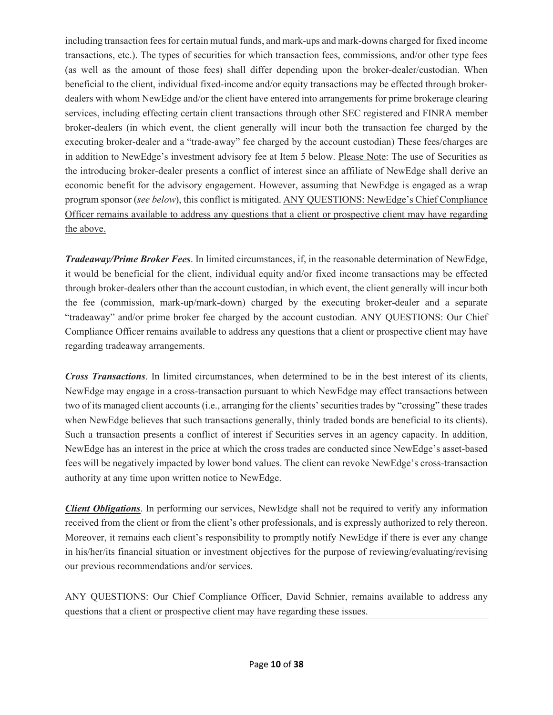including transaction fees for certain mutual funds, and mark-ups and mark-downs charged for fixed income transactions, etc.). The types of securities for which transaction fees, commissions, and/or other type fees (as well as the amount of those fees) shall differ depending upon the broker-dealer/custodian. When beneficial to the client, individual fixed-income and/or equity transactions may be effected through brokerdealers with whom NewEdge and/or the client have entered into arrangements for prime brokerage clearing services, including effecting certain client transactions through other SEC registered and FINRA member broker‐dealers (in which event, the client generally will incur both the transaction fee charged by the executing broker-dealer and a "trade-away" fee charged by the account custodian) These fees/charges are in addition to NewEdge's investment advisory fee at Item 5 below. Please Note: The use of Securities as the introducing broker-dealer presents a conflict of interest since an affiliate of NewEdge shall derive an economic benefit for the advisory engagement. However, assuming that NewEdge is engaged as a wrap program sponsor (*see below*), this conflict is mitigated. ANY QUESTIONS: NewEdge's Chief Compliance Officer remains available to address any questions that a client or prospective client may have regarding the above.

*Tradeaway/Prime Broker Fees*. In limited circumstances, if, in the reasonable determination of NewEdge, it would be beneficial for the client, individual equity and/or fixed income transactions may be effected through broker-dealers other than the account custodian, in which event, the client generally will incur both the fee (commission, mark-up/mark-down) charged by the executing broker-dealer and a separate "tradeaway" and/or prime broker fee charged by the account custodian. ANY QUESTIONS: Our Chief Compliance Officer remains available to address any questions that a client or prospective client may have regarding tradeaway arrangements.

*Cross Transactions*. In limited circumstances, when determined to be in the best interest of its clients, NewEdge may engage in a cross-transaction pursuant to which NewEdge may effect transactions between two of its managed client accounts (i.e., arranging for the clients' securities trades by "crossing" these trades when NewEdge believes that such transactions generally, thinly traded bonds are beneficial to its clients). Such a transaction presents a conflict of interest if Securities serves in an agency capacity. In addition, NewEdge has an interest in the price at which the cross trades are conducted since NewEdge's asset-based fees will be negatively impacted by lower bond values. The client can revoke NewEdge's cross-transaction authority at any time upon written notice to NewEdge.

*Client Obligations*. In performing our services, NewEdge shall not be required to verify any information received from the client or from the client's other professionals, and is expressly authorized to rely thereon. Moreover, it remains each client's responsibility to promptly notify NewEdge if there is ever any change in his/her/its financial situation or investment objectives for the purpose of reviewing/evaluating/revising our previous recommendations and/or services.

ANY QUESTIONS: Our Chief Compliance Officer, David Schnier, remains available to address any questions that a client or prospective client may have regarding these issues.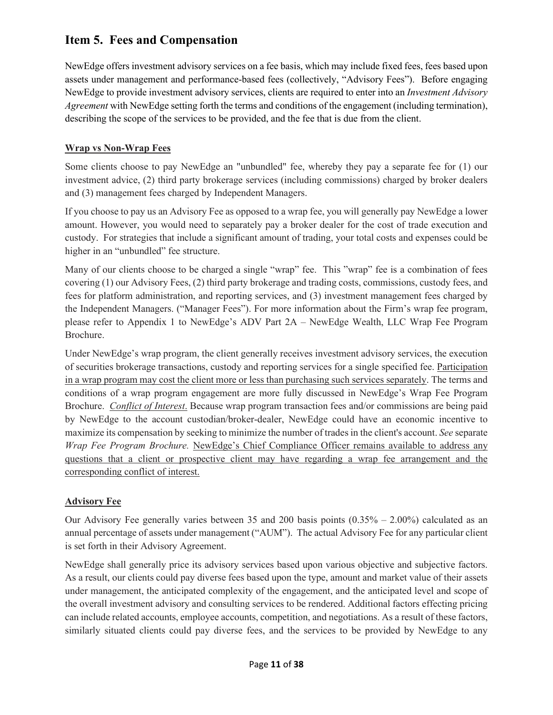# <span id="page-10-0"></span>**Item 5. Fees and Compensation**

NewEdge offers investment advisory services on a fee basis, which may include fixed fees, fees based upon assets under management and performance-based fees (collectively, "Advisory Fees"). Before engaging NewEdge to provide investment advisory services, clients are required to enter into an *Investment Advisory Agreement* with NewEdge setting forth the terms and conditions of the engagement (including termination), describing the scope of the services to be provided, and the fee that is due from the client.

# **Wrap vs Non-Wrap Fees**

Some clients choose to pay NewEdge an "unbundled" fee, whereby they pay a separate fee for (1) our investment advice, (2) third party brokerage services (including commissions) charged by broker dealers and (3) management fees charged by Independent Managers.

If you choose to pay us an Advisory Fee as opposed to a wrap fee, you will generally pay NewEdge a lower amount. However, you would need to separately pay a broker dealer for the cost of trade execution and custody. For strategies that include a significant amount of trading, your total costs and expenses could be higher in an "unbundled" fee structure.

Many of our clients choose to be charged a single "wrap" fee. This "wrap" fee is a combination of fees covering (1) our Advisory Fees, (2) third party brokerage and trading costs, commissions, custody fees, and fees for platform administration, and reporting services, and (3) investment management fees charged by the Independent Managers. ("Manager Fees"). For more information about the Firm's wrap fee program, please refer to Appendix 1 to NewEdge's ADV Part 2A – NewEdge Wealth, LLC Wrap Fee Program Brochure.

Under NewEdge's wrap program, the client generally receives investment advisory services, the execution of securities brokerage transactions, custody and reporting services for a single specified fee. Participation in a wrap program may cost the client more or less than purchasing such services separately. The terms and conditions of a wrap program engagement are more fully discussed in NewEdge's Wrap Fee Program Brochure. *Conflict of Interest*. Because wrap program transaction fees and/or commissions are being paid by NewEdge to the account custodian/broker-dealer, NewEdge could have an economic incentive to maximize its compensation by seeking to minimize the number of trades in the client's account. *See* separate *Wrap Fee Program Brochure.* NewEdge's Chief Compliance Officer remains available to address any questions that a client or prospective client may have regarding a wrap fee arrangement and the corresponding conflict of interest.

# **Advisory Fee**

Our Advisory Fee generally varies between 35 and 200 basis points  $(0.35\% - 2.00\%)$  calculated as an annual percentage of assets under management ("AUM"). The actual Advisory Fee for any particular client is set forth in their Advisory Agreement.

NewEdge shall generally price its advisory services based upon various objective and subjective factors. As a result, our clients could pay diverse fees based upon the type, amount and market value of their assets under management, the anticipated complexity of the engagement, and the anticipated level and scope of the overall investment advisory and consulting services to be rendered. Additional factors effecting pricing can include related accounts, employee accounts, competition, and negotiations. As a result of these factors, similarly situated clients could pay diverse fees, and the services to be provided by NewEdge to any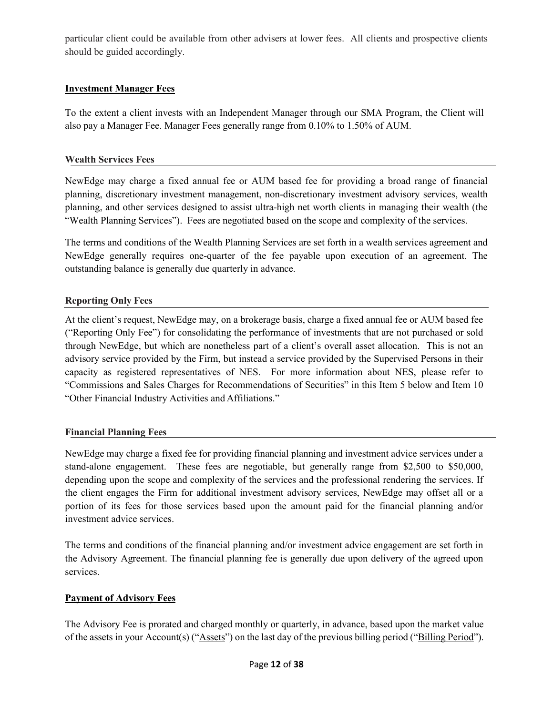particular client could be available from other advisers at lower fees. All clients and prospective clients should be guided accordingly.

## **Investment Manager Fees**

To the extent a client invests with an Independent Manager through our SMA Program, the Client will also pay a Manager Fee. Manager Fees generally range from 0.10% to 1.50% of AUM.

### **Wealth Services Fees**

NewEdge may charge a fixed annual fee or AUM based fee for providing a broad range of financial planning, discretionary investment management, non-discretionary investment advisory services, wealth planning, and other services designed to assist ultra-high net worth clients in managing their wealth (the "Wealth Planning Services"). Fees are negotiated based on the scope and complexity of the services.

The terms and conditions of the Wealth Planning Services are set forth in a wealth services agreement and NewEdge generally requires one-quarter of the fee payable upon execution of an agreement. The outstanding balance is generally due quarterly in advance.

## **Reporting Only Fees**

At the client's request, NewEdge may, on a brokerage basis, charge a fixed annual fee or AUM based fee ("Reporting Only Fee") for consolidating the performance of investments that are not purchased or sold through NewEdge, but which are nonetheless part of a client's overall asset allocation. This is not an advisory service provided by the Firm, but instead a service provided by the Supervised Persons in their capacity as registered representatives of NES. For more information about NES, please refer to "Commissions and Sales Charges for Recommendations of Securities" in this Item 5 below and Item 10 "Other Financial Industry Activities and Affiliations."

#### **Financial Planning Fees**

NewEdge may charge a fixed fee for providing financial planning and investment advice services under a stand-alone engagement. These fees are negotiable, but generally range from \$2,500 to \$50,000, depending upon the scope and complexity of the services and the professional rendering the services. If the client engages the Firm for additional investment advisory services, NewEdge may offset all or a portion of its fees for those services based upon the amount paid for the financial planning and/or investment advice services.

The terms and conditions of the financial planning and/or investment advice engagement are set forth in the Advisory Agreement. The financial planning fee is generally due upon delivery of the agreed upon services.

#### **Payment of Advisory Fees**

The Advisory Fee is prorated and charged monthly or quarterly, in advance, based upon the market value of the assets in your Account(s) ("Assets") on the last day of the previous billing period ("Billing Period").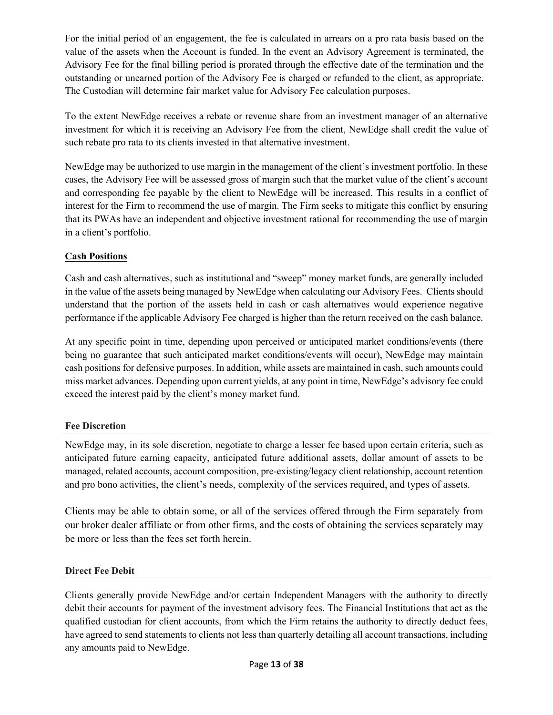For the initial period of an engagement, the fee is calculated in arrears on a pro rata basis based on the value of the assets when the Account is funded. In the event an Advisory Agreement is terminated, the Advisory Fee for the final billing period is prorated through the effective date of the termination and the outstanding or unearned portion of the Advisory Fee is charged or refunded to the client, as appropriate. The Custodian will determine fair market value for Advisory Fee calculation purposes.

To the extent NewEdge receives a rebate or revenue share from an investment manager of an alternative investment for which it is receiving an Advisory Fee from the client, NewEdge shall credit the value of such rebate pro rata to its clients invested in that alternative investment.

NewEdge may be authorized to use margin in the management of the client's investment portfolio. In these cases, the Advisory Fee will be assessed gross of margin such that the market value of the client's account and corresponding fee payable by the client to NewEdge will be increased. This results in a conflict of interest for the Firm to recommend the use of margin. The Firm seeks to mitigate this conflict by ensuring that its PWAs have an independent and objective investment rational for recommending the use of margin in a client's portfolio.

# **Cash Positions**

Cash and cash alternatives, such as institutional and "sweep" money market funds, are generally included in the value of the assets being managed by NewEdge when calculating our Advisory Fees. Clients should understand that the portion of the assets held in cash or cash alternatives would experience negative performance if the applicable Advisory Fee charged is higher than the return received on the cash balance.

At any specific point in time, depending upon perceived or anticipated market conditions/events (there being no guarantee that such anticipated market conditions/events will occur), NewEdge may maintain cash positions for defensive purposes. In addition, while assets are maintained in cash, such amounts could miss market advances. Depending upon current yields, at any point in time, NewEdge's advisory fee could exceed the interest paid by the client's money market fund.

# **Fee Discretion**

NewEdge may, in its sole discretion, negotiate to charge a lesser fee based upon certain criteria, such as anticipated future earning capacity, anticipated future additional assets, dollar amount of assets to be managed, related accounts, account composition, pre-existing/legacy client relationship, account retention and pro bono activities, the client's needs, complexity of the services required, and types of assets.

Clients may be able to obtain some, or all of the services offered through the Firm separately from our broker dealer affiliate or from other firms, and the costs of obtaining the services separately may be more or less than the fees set forth herein.

# **Direct Fee Debit**

Clients generally provide NewEdge and/or certain Independent Managers with the authority to directly debit their accounts for payment of the investment advisory fees. The Financial Institutions that act as the qualified custodian for client accounts, from which the Firm retains the authority to directly deduct fees, have agreed to send statements to clients not less than quarterly detailing all account transactions, including any amounts paid to NewEdge.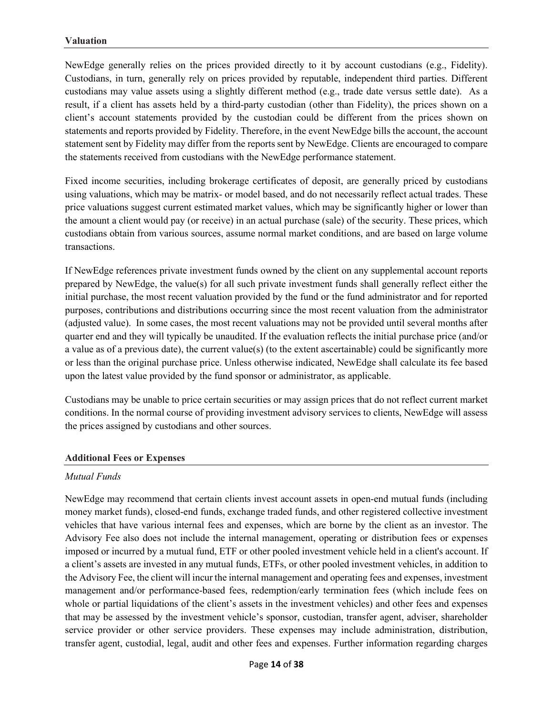NewEdge generally relies on the prices provided directly to it by account custodians (e.g., Fidelity). Custodians, in turn, generally rely on prices provided by reputable, independent third parties. Different custodians may value assets using a slightly different method (e.g., trade date versus settle date). As a result, if a client has assets held by a third-party custodian (other than Fidelity), the prices shown on a client's account statements provided by the custodian could be different from the prices shown on statements and reports provided by Fidelity. Therefore, in the event NewEdge bills the account, the account statement sent by Fidelity may differ from the reports sent by NewEdge. Clients are encouraged to compare the statements received from custodians with the NewEdge performance statement.

Fixed income securities, including brokerage certificates of deposit, are generally priced by custodians using valuations, which may be matrix- or model based, and do not necessarily reflect actual trades. These price valuations suggest current estimated market values, which may be significantly higher or lower than the amount a client would pay (or receive) in an actual purchase (sale) of the security. These prices, which custodians obtain from various sources, assume normal market conditions, and are based on large volume transactions.

If NewEdge references private investment funds owned by the client on any supplemental account reports prepared by NewEdge, the value(s) for all such private investment funds shall generally reflect either the initial purchase, the most recent valuation provided by the fund or the fund administrator and for reported purposes, contributions and distributions occurring since the most recent valuation from the administrator (adjusted value). In some cases, the most recent valuations may not be provided until several months after quarter end and they will typically be unaudited. If the evaluation reflects the initial purchase price (and/or a value as of a previous date), the current value(s) (to the extent ascertainable) could be significantly more or less than the original purchase price. Unless otherwise indicated, NewEdge shall calculate its fee based upon the latest value provided by the fund sponsor or administrator, as applicable.

Custodians may be unable to price certain securities or may assign prices that do not reflect current market conditions. In the normal course of providing investment advisory services to clients, NewEdge will assess the prices assigned by custodians and other sources.

#### **Additional Fees or Expenses**

#### *Mutual Funds*

NewEdge may recommend that certain clients invest account assets in open-end mutual funds (including money market funds), closed-end funds, exchange traded funds, and other registered collective investment vehicles that have various internal fees and expenses, which are borne by the client as an investor. The Advisory Fee also does not include the internal management, operating or distribution fees or expenses imposed or incurred by a mutual fund, ETF or other pooled investment vehicle held in a client's account. If a client's assets are invested in any mutual funds, ETFs, or other pooled investment vehicles, in addition to the Advisory Fee, the client will incur the internal management and operating fees and expenses, investment management and/or performance-based fees, redemption/early termination fees (which include fees on whole or partial liquidations of the client's assets in the investment vehicles) and other fees and expenses that may be assessed by the investment vehicle's sponsor, custodian, transfer agent, adviser, shareholder service provider or other service providers. These expenses may include administration, distribution, transfer agent, custodial, legal, audit and other fees and expenses. Further information regarding charges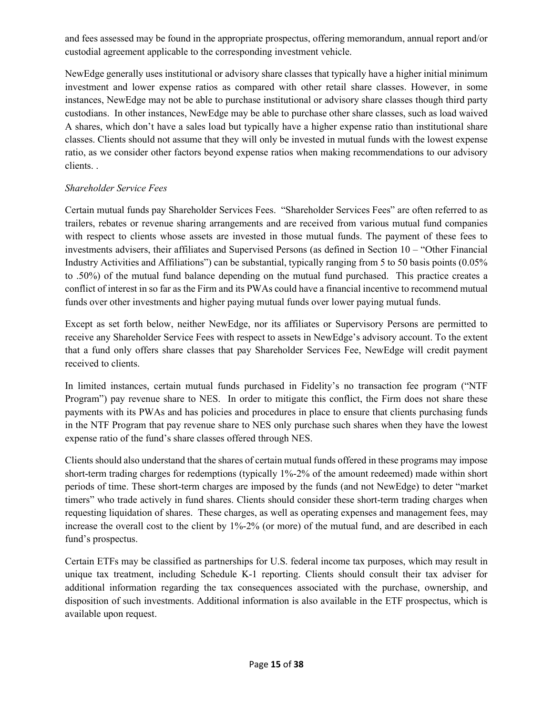and fees assessed may be found in the appropriate prospectus, offering memorandum, annual report and/or custodial agreement applicable to the corresponding investment vehicle.

NewEdge generally uses institutional or advisory share classes that typically have a higher initial minimum investment and lower expense ratios as compared with other retail share classes. However, in some instances, NewEdge may not be able to purchase institutional or advisory share classes though third party custodians. In other instances, NewEdge may be able to purchase other share classes, such as load waived A shares, which don't have a sales load but typically have a higher expense ratio than institutional share classes. Clients should not assume that they will only be invested in mutual funds with the lowest expense ratio, as we consider other factors beyond expense ratios when making recommendations to our advisory clients. .

## *Shareholder Service Fees*

Certain mutual funds pay Shareholder Services Fees. "Shareholder Services Fees" are often referred to as trailers, rebates or revenue sharing arrangements and are received from various mutual fund companies with respect to clients whose assets are invested in those mutual funds. The payment of these fees to investments advisers, their affiliates and Supervised Persons (as defined in Section 10 – "Other Financial Industry Activities and Affiliations") can be substantial, typically ranging from 5 to 50 basis points (0.05% to .50%) of the mutual fund balance depending on the mutual fund purchased. This practice creates a conflict of interest in so far as the Firm and its PWAs could have a financial incentive to recommend mutual funds over other investments and higher paying mutual funds over lower paying mutual funds.

Except as set forth below, neither NewEdge, nor its affiliates or Supervisory Persons are permitted to receive any Shareholder Service Fees with respect to assets in NewEdge's advisory account. To the extent that a fund only offers share classes that pay Shareholder Services Fee, NewEdge will credit payment received to clients.

In limited instances, certain mutual funds purchased in Fidelity's no transaction fee program ("NTF Program") pay revenue share to NES. In order to mitigate this conflict, the Firm does not share these payments with its PWAs and has policies and procedures in place to ensure that clients purchasing funds in the NTF Program that pay revenue share to NES only purchase such shares when they have the lowest expense ratio of the fund's share classes offered through NES.

Clients should also understand that the shares of certain mutual funds offered in these programs may impose short-term trading charges for redemptions (typically 1%-2% of the amount redeemed) made within short periods of time. These short-term charges are imposed by the funds (and not NewEdge) to deter "market timers" who trade actively in fund shares. Clients should consider these short-term trading charges when requesting liquidation of shares. These charges, as well as operating expenses and management fees, may increase the overall cost to the client by 1%-2% (or more) of the mutual fund, and are described in each fund's prospectus.

Certain ETFs may be classified as partnerships for U.S. federal income tax purposes, which may result in unique tax treatment, including Schedule K-1 reporting. Clients should consult their tax adviser for additional information regarding the tax consequences associated with the purchase, ownership, and disposition of such investments. Additional information is also available in the ETF prospectus, which is available upon request.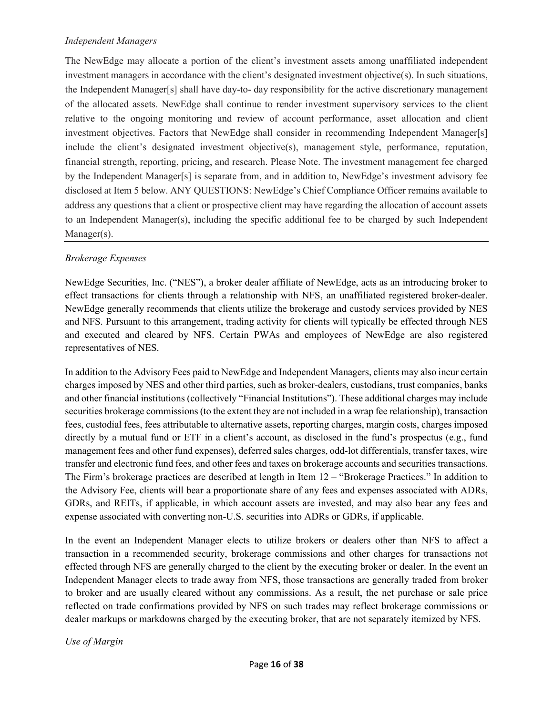#### *Independent Managers*

The NewEdge may allocate a portion of the client's investment assets among unaffiliated independent investment managers in accordance with the client's designated investment objective(s). In such situations, the Independent Manager[s] shall have day-to- day responsibility for the active discretionary management of the allocated assets. NewEdge shall continue to render investment supervisory services to the client relative to the ongoing monitoring and review of account performance, asset allocation and client investment objectives. Factors that NewEdge shall consider in recommending Independent Manager[s] include the client's designated investment objective(s), management style, performance, reputation, financial strength, reporting, pricing, and research. Please Note. The investment management fee charged by the Independent Manager[s] is separate from, and in addition to, NewEdge's investment advisory fee disclosed at Item 5 below. ANY QUESTIONS: NewEdge's Chief Compliance Officer remains available to address any questions that a client or prospective client may have regarding the allocation of account assets to an Independent Manager(s), including the specific additional fee to be charged by such Independent Manager(s).

#### *Brokerage Expenses*

NewEdge Securities, Inc. ("NES"), a broker dealer affiliate of NewEdge, acts as an introducing broker to effect transactions for clients through a relationship with NFS, an unaffiliated registered broker-dealer. NewEdge generally recommends that clients utilize the brokerage and custody services provided by NES and NFS. Pursuant to this arrangement, trading activity for clients will typically be effected through NES and executed and cleared by NFS. Certain PWAs and employees of NewEdge are also registered representatives of NES.

In addition to the Advisory Fees paid to NewEdge and Independent Managers, clients may also incur certain charges imposed by NES and other third parties, such as broker-dealers, custodians, trust companies, banks and other financial institutions (collectively "Financial Institutions"). These additional charges may include securities brokerage commissions (to the extent they are not included in a wrap fee relationship), transaction fees, custodial fees, fees attributable to alternative assets, reporting charges, margin costs, charges imposed directly by a mutual fund or ETF in a client's account, as disclosed in the fund's prospectus (e.g., fund management fees and other fund expenses), deferred sales charges, odd-lot differentials, transfer taxes, wire transfer and electronic fund fees, and other fees and taxes on brokerage accounts and securities transactions. The Firm's brokerage practices are described at length in Item 12 – "Brokerage Practices." In addition to the Advisory Fee, clients will bear a proportionate share of any fees and expenses associated with ADRs, GDRs, and REITs, if applicable, in which account assets are invested, and may also bear any fees and expense associated with converting non-U.S. securities into ADRs or GDRs, if applicable.

In the event an Independent Manager elects to utilize brokers or dealers other than NFS to affect a transaction in a recommended security, brokerage commissions and other charges for transactions not effected through NFS are generally charged to the client by the executing broker or dealer. In the event an Independent Manager elects to trade away from NFS, those transactions are generally traded from broker to broker and are usually cleared without any commissions. As a result, the net purchase or sale price reflected on trade confirmations provided by NFS on such trades may reflect brokerage commissions or dealer markups or markdowns charged by the executing broker, that are not separately itemized by NFS.

*Use of Margin*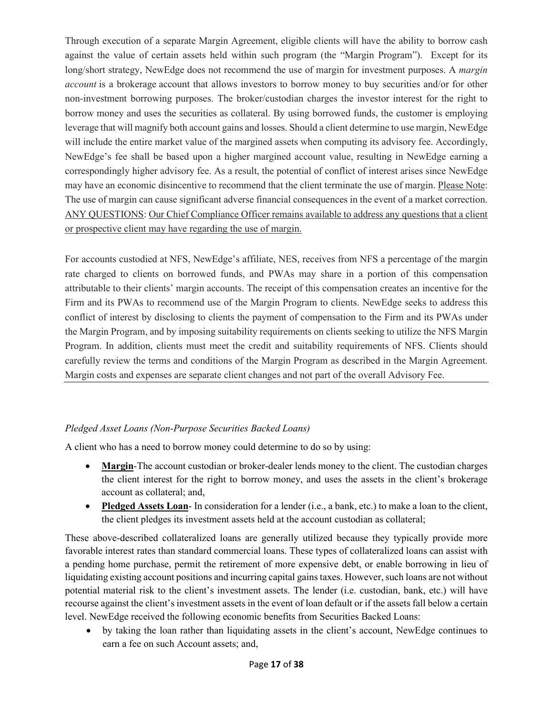Through execution of a separate Margin Agreement, eligible clients will have the ability to borrow cash against the value of certain assets held within such program (the "Margin Program"). Except for its long/short strategy, NewEdge does not recommend the use of margin for investment purposes. A *margin account* is a brokerage account that allows investors to borrow money to buy securities and/or for other non-investment borrowing purposes. The broker/custodian charges the investor interest for the right to borrow money and uses the securities as collateral. By using borrowed funds, the customer is employing leverage that will magnify both account gains and losses. Should a client determine to use margin, NewEdge will include the entire market value of the margined assets when computing its advisory fee. Accordingly, NewEdge's fee shall be based upon a higher margined account value, resulting in NewEdge earning a correspondingly higher advisory fee. As a result, the potential of conflict of interest arises since NewEdge may have an economic disincentive to recommend that the client terminate the use of margin. Please Note: The use of margin can cause significant adverse financial consequences in the event of a market correction. ANY QUESTIONS: Our Chief Compliance Officer remains available to address any questions that a client or prospective client may have regarding the use of margin.

For accounts custodied at NFS, NewEdge's affiliate, NES, receives from NFS a percentage of the margin rate charged to clients on borrowed funds, and PWAs may share in a portion of this compensation attributable to their clients' margin accounts. The receipt of this compensation creates an incentive for the Firm and its PWAs to recommend use of the Margin Program to clients. NewEdge seeks to address this conflict of interest by disclosing to clients the payment of compensation to the Firm and its PWAs under the Margin Program, and by imposing suitability requirements on clients seeking to utilize the NFS Margin Program. In addition, clients must meet the credit and suitability requirements of NFS. Clients should carefully review the terms and conditions of the Margin Program as described in the Margin Agreement. Margin costs and expenses are separate client changes and not part of the overall Advisory Fee.

# *Pledged Asset Loans (Non-Purpose Securities Backed Loans)*

A client who has a need to borrow money could determine to do so by using:

- Margin-The account custodian or broker-dealer lends money to the client. The custodian charges the client interest for the right to borrow money, and uses the assets in the client's brokerage account as collateral; and,
- **Pledged Assets Loan** In consideration for a lender (i.e., a bank, etc.) to make a loan to the client, the client pledges its investment assets held at the account custodian as collateral;

These above-described collateralized loans are generally utilized because they typically provide more favorable interest rates than standard commercial loans. These types of collateralized loans can assist with a pending home purchase, permit the retirement of more expensive debt, or enable borrowing in lieu of liquidating existing account positions and incurring capital gains taxes. However, such loans are not without potential material risk to the client's investment assets. The lender (i.e. custodian, bank, etc.) will have recourse against the client's investment assets in the event of loan default or if the assets fall below a certain level. NewEdge received the following economic benefits from Securities Backed Loans:

• by taking the loan rather than liquidating assets in the client's account, NewEdge continues to earn a fee on such Account assets; and,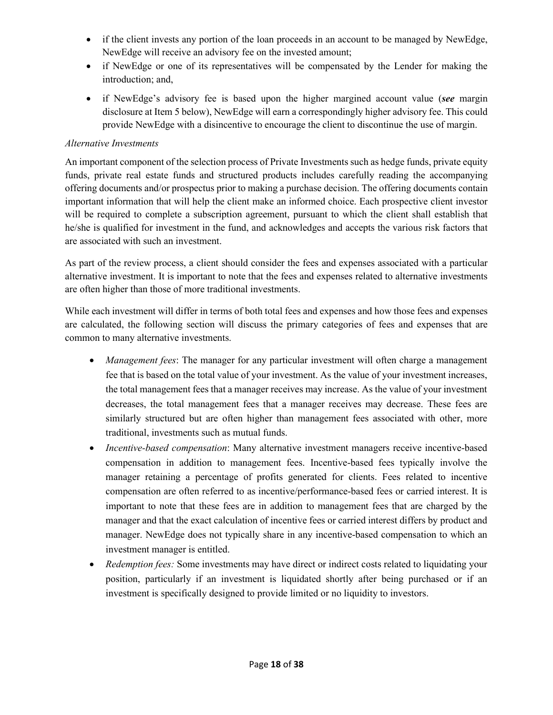- if the client invests any portion of the loan proceeds in an account to be managed by NewEdge, NewEdge will receive an advisory fee on the invested amount;
- if NewEdge or one of its representatives will be compensated by the Lender for making the introduction; and,
- if NewEdge's advisory fee is based upon the higher margined account value (*see* margin disclosure at Item 5 below), NewEdge will earn a correspondingly higher advisory fee. This could provide NewEdge with a disincentive to encourage the client to discontinue the use of margin.

### *Alternative Investments*

An important component of the selection process of Private Investments such as hedge funds, private equity funds, private real estate funds and structured products includes carefully reading the accompanying offering documents and/or prospectus prior to making a purchase decision. The offering documents contain important information that will help the client make an informed choice. Each prospective client investor will be required to complete a subscription agreement, pursuant to which the client shall establish that he/she is qualified for investment in the fund, and acknowledges and accepts the various risk factors that are associated with such an investment.

As part of the review process, a client should consider the fees and expenses associated with a particular alternative investment. It is important to note that the fees and expenses related to alternative investments are often higher than those of more traditional investments.

While each investment will differ in terms of both total fees and expenses and how those fees and expenses are calculated, the following section will discuss the primary categories of fees and expenses that are common to many alternative investments.

- *Management fees*: The manager for any particular investment will often charge a management fee that is based on the total value of your investment. As the value of your investment increases, the total management fees that a manager receives may increase. As the value of your investment decreases, the total management fees that a manager receives may decrease. These fees are similarly structured but are often higher than management fees associated with other, more traditional, investments such as mutual funds.
- *Incentive-based compensation*: Many alternative investment managers receive incentive-based compensation in addition to management fees. Incentive-based fees typically involve the manager retaining a percentage of profits generated for clients. Fees related to incentive compensation are often referred to as incentive/performance-based fees or carried interest. It is important to note that these fees are in addition to management fees that are charged by the manager and that the exact calculation of incentive fees or carried interest differs by product and manager. NewEdge does not typically share in any incentive-based compensation to which an investment manager is entitled.
- *Redemption fees:* Some investments may have direct or indirect costs related to liquidating your position, particularly if an investment is liquidated shortly after being purchased or if an investment is specifically designed to provide limited or no liquidity to investors.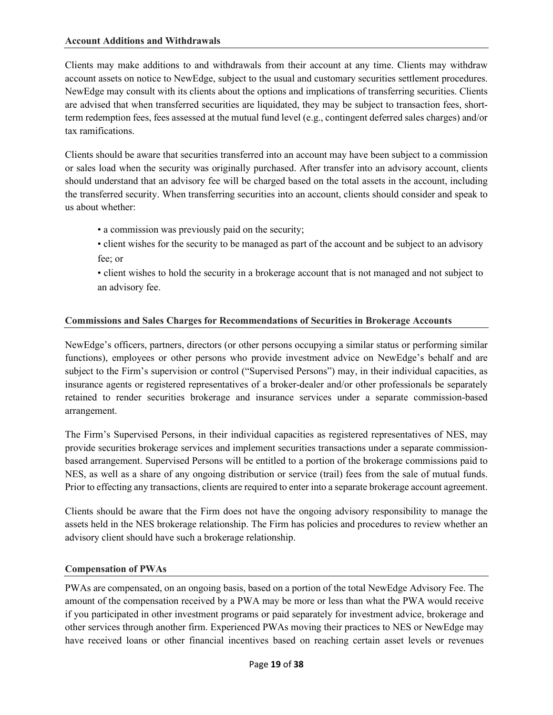#### **Account Additions and Withdrawals**

Clients may make additions to and withdrawals from their account at any time. Clients may withdraw account assets on notice to NewEdge, subject to the usual and customary securities settlement procedures. NewEdge may consult with its clients about the options and implications of transferring securities. Clients are advised that when transferred securities are liquidated, they may be subject to transaction fees, shortterm redemption fees, fees assessed at the mutual fund level (e.g., contingent deferred sales charges) and/or tax ramifications.

Clients should be aware that securities transferred into an account may have been subject to a commission or sales load when the security was originally purchased. After transfer into an advisory account, clients should understand that an advisory fee will be charged based on the total assets in the account, including the transferred security. When transferring securities into an account, clients should consider and speak to us about whether:

- a commission was previously paid on the security;
- client wishes for the security to be managed as part of the account and be subject to an advisory fee; or
- client wishes to hold the security in a brokerage account that is not managed and not subject to an advisory fee.

#### **Commissions and Sales Charges for Recommendations of Securities in Brokerage Accounts**

NewEdge's officers, partners, directors (or other persons occupying a similar status or performing similar functions), employees or other persons who provide investment advice on NewEdge's behalf and are subject to the Firm's supervision or control ("Supervised Persons") may, in their individual capacities, as insurance agents or registered representatives of a broker-dealer and/or other professionals be separately retained to render securities brokerage and insurance services under a separate commission-based arrangement.

The Firm's Supervised Persons, in their individual capacities as registered representatives of NES, may provide securities brokerage services and implement securities transactions under a separate commissionbased arrangement. Supervised Persons will be entitled to a portion of the brokerage commissions paid to NES, as well as a share of any ongoing distribution or service (trail) fees from the sale of mutual funds. Prior to effecting any transactions, clients are required to enter into a separate brokerage account agreement.

Clients should be aware that the Firm does not have the ongoing advisory responsibility to manage the assets held in the NES brokerage relationship. The Firm has policies and procedures to review whether an advisory client should have such a brokerage relationship.

#### **Compensation of PWAs**

PWAs are compensated, on an ongoing basis, based on a portion of the total NewEdge Advisory Fee. The amount of the compensation received by a PWA may be more or less than what the PWA would receive if you participated in other investment programs or paid separately for investment advice, brokerage and other services through another firm. Experienced PWAs moving their practices to NES or NewEdge may have received loans or other financial incentives based on reaching certain asset levels or revenues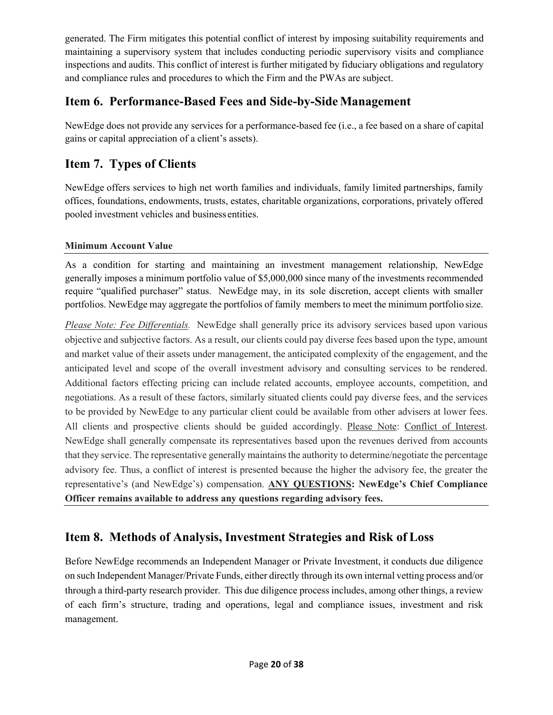generated. The Firm mitigates this potential conflict of interest by imposing suitability requirements and maintaining a supervisory system that includes conducting periodic supervisory visits and compliance inspections and audits. This conflict of interest is further mitigated by fiduciary obligations and regulatory and compliance rules and procedures to which the Firm and the PWAs are subject.

# <span id="page-19-0"></span>**Item 6. Performance-Based Fees and Side-by-Side Management**

NewEdge does not provide any services for a performance-based fee (i.e., a fee based on a share of capital gains or capital appreciation of a client's assets).

# <span id="page-19-1"></span>**Item 7. Types of Clients**

NewEdge offers services to high net worth families and individuals, family limited partnerships, family offices, foundations, endowments, trusts, estates, charitable organizations, corporations, privately offered pooled investment vehicles and business entities.

# **Minimum Account Value**

As a condition for starting and maintaining an investment management relationship, NewEdge generally imposes a minimum portfolio value of \$5,000,000 since many of the investments recommended require "qualified purchaser" status. NewEdge may, in its sole discretion, accept clients with smaller portfolios. NewEdge may aggregate the portfolios of family members to meet the minimum portfolio size.

*Please Note: Fee Differentials.* NewEdge shall generally price its advisory services based upon various objective and subjective factors. As a result, our clients could pay diverse fees based upon the type, amount and market value of their assets under management, the anticipated complexity of the engagement, and the anticipated level and scope of the overall investment advisory and consulting services to be rendered. Additional factors effecting pricing can include related accounts, employee accounts, competition, and negotiations. As a result of these factors, similarly situated clients could pay diverse fees, and the services to be provided by NewEdge to any particular client could be available from other advisers at lower fees. All clients and prospective clients should be guided accordingly. Please Note: Conflict of Interest. NewEdge shall generally compensate its representatives based upon the revenues derived from accounts that they service. The representative generally maintains the authority to determine/negotiate the percentage advisory fee. Thus, a conflict of interest is presented because the higher the advisory fee, the greater the representative's (and NewEdge's) compensation. **ANY QUESTIONS: NewEdge's Chief Compliance Officer remains available to address any questions regarding advisory fees.**

# <span id="page-19-2"></span>**Item 8. Methods of Analysis, Investment Strategies and Risk of Loss**

Before NewEdge recommends an Independent Manager or Private Investment, it conducts due diligence on such Independent Manager/Private Funds, either directly through its own internal vetting process and/or through a third-party research provider. This due diligence process includes, among other things, a review of each firm's structure, trading and operations, legal and compliance issues, investment and risk management.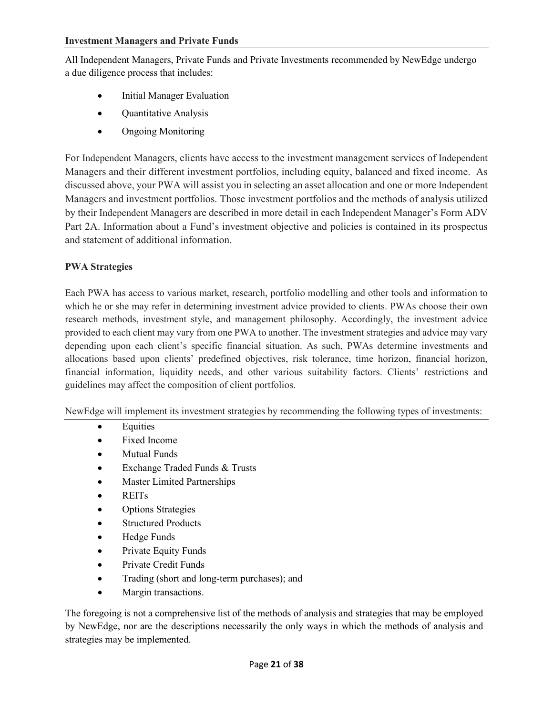All Independent Managers, Private Funds and Private Investments recommended by NewEdge undergo a due diligence process that includes:

- Initial Manager Evaluation
- Quantitative Analysis
- Ongoing Monitoring

For Independent Managers, clients have access to the investment management services of Independent Managers and their different investment portfolios, including equity, balanced and fixed income. As discussed above, your PWA will assist you in selecting an asset allocation and one or more Independent Managers and investment portfolios. Those investment portfolios and the methods of analysis utilized by their Independent Managers are described in more detail in each Independent Manager's Form ADV Part 2A. Information about a Fund's investment objective and policies is contained in its prospectus and statement of additional information.

#### **PWA Strategies**

Each PWA has access to various market, research, portfolio modelling and other tools and information to which he or she may refer in determining investment advice provided to clients. PWAs choose their own research methods, investment style, and management philosophy. Accordingly, the investment advice provided to each client may vary from one PWA to another. The investment strategies and advice may vary depending upon each client's specific financial situation. As such, PWAs determine investments and allocations based upon clients' predefined objectives, risk tolerance, time horizon, financial horizon, financial information, liquidity needs, and other various suitability factors. Clients' restrictions and guidelines may affect the composition of client portfolios.

NewEdge will implement its investment strategies by recommending the following types of investments:

- Equities
- Fixed Income
- Mutual Funds
- Exchange Traded Funds & Trusts
- Master Limited Partnerships
- REITs
- Options Strategies
- Structured Products
- Hedge Funds
- Private Equity Funds
- Private Credit Funds
- Trading (short and long-term purchases); and
- Margin transactions.

The foregoing is not a comprehensive list of the methods of analysis and strategies that may be employed by NewEdge, nor are the descriptions necessarily the only ways in which the methods of analysis and strategies may be implemented.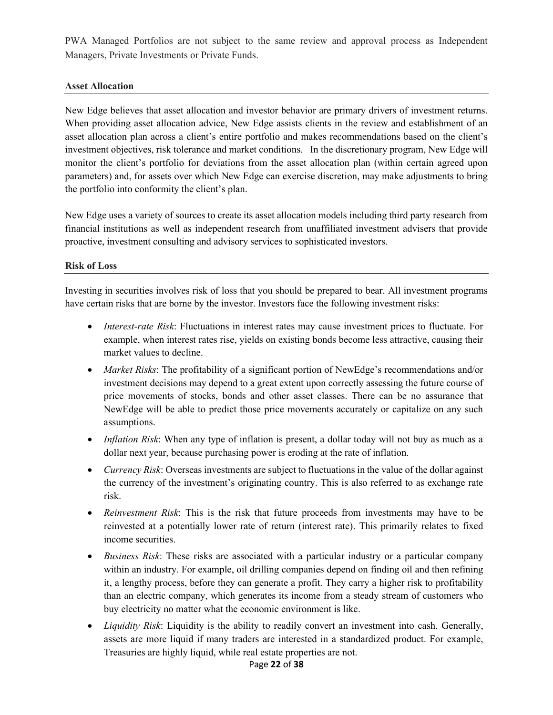PWA Managed Portfolios are not subject to the same review and approval process as Independent Managers, Private Investments or Private Funds.

#### **Asset Allocation**

New Edge believes that asset allocation and investor behavior are primary drivers of investment returns. When providing asset allocation advice, New Edge assists clients in the review and establishment of an asset allocation plan across a client's entire portfolio and makes recommendations based on the client's investment objectives, risk tolerance and market conditions. In the discretionary program, New Edge will monitor the client's portfolio for deviations from the asset allocation plan (within certain agreed upon parameters) and, for assets over which New Edge can exercise discretion, may make adjustments to bring the portfolio into conformity the client's plan.

New Edge uses a variety of sources to create its asset allocation models including third party research from financial institutions as well as independent research from unaffiliated investment advisers that provide proactive, investment consulting and advisory services to sophisticated investors.

#### **Risk of Loss**

Investing in securities involves risk of loss that you should be prepared to bear. All investment programs have certain risks that are borne by the investor. Investors face the following investment risks:

- *Interest-rate Risk*: Fluctuations in interest rates may cause investment prices to fluctuate. For example, when interest rates rise, yields on existing bonds become less attractive, causing their market values to decline.
- *Market Risks*: The profitability of a significant portion of NewEdge's recommendations and/or investment decisions may depend to a great extent upon correctly assessing the future course of price movements of stocks, bonds and other asset classes. There can be no assurance that NewEdge will be able to predict those price movements accurately or capitalize on any such assumptions.
- *Inflation Risk*: When any type of inflation is present, a dollar today will not buy as much as a dollar next year, because purchasing power is eroding at the rate of inflation.
- *Currency Risk*: Overseas investments are subject to fluctuations in the value of the dollar against the currency of the investment's originating country. This is also referred to as exchange rate risk.
- *Reinvestment Risk*: This is the risk that future proceeds from investments may have to be reinvested at a potentially lower rate of return (interest rate). This primarily relates to fixed income securities.
- *Business Risk*: These risks are associated with a particular industry or a particular company within an industry. For example, oil drilling companies depend on finding oil and then refining it, a lengthy process, before they can generate a profit. They carry a higher risk to profitability than an electric company, which generates its income from a steady stream of customers who buy electricity no matter what the economic environment is like.
- *Liquidity Risk*: Liquidity is the ability to readily convert an investment into cash. Generally, assets are more liquid if many traders are interested in a standardized product. For example, Treasuries are highly liquid, while real estate properties are not.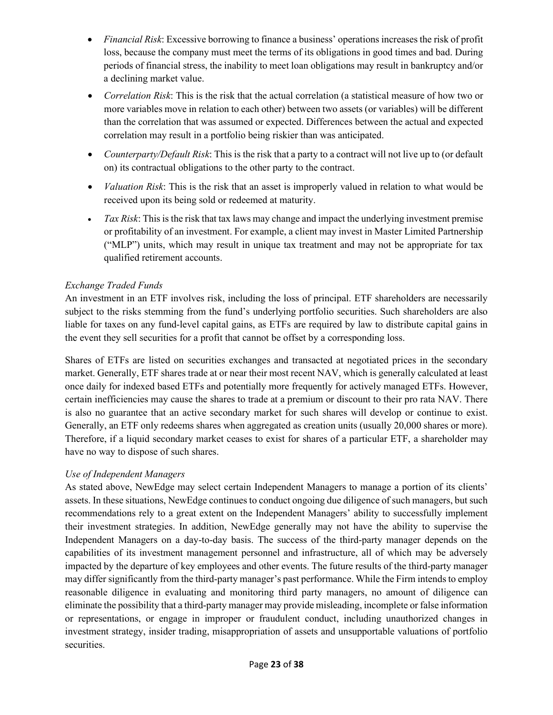- *Financial Risk*: Excessive borrowing to finance a business' operations increases the risk of profit loss, because the company must meet the terms of its obligations in good times and bad. During periods of financial stress, the inability to meet loan obligations may result in bankruptcy and/or a declining market value.
- *Correlation Risk*: This is the risk that the actual correlation (a statistical measure of how two or more variables move in relation to each other) between two assets (or variables) will be different than the correlation that was assumed or expected. Differences between the actual and expected correlation may result in a portfolio being riskier than was anticipated.
- *Counterparty/Default Risk*: This is the risk that a party to a contract will not live up to (or default on) its contractual obligations to the other party to the contract.
- *Valuation Risk*: This is the risk that an asset is improperly valued in relation to what would be received upon its being sold or redeemed at maturity.
- *Tax Risk*: This is the risk that tax laws may change and impact the underlying investment premise or profitability of an investment. For example, a client may invest in Master Limited Partnership ("MLP") units, which may result in unique tax treatment and may not be appropriate for tax qualified retirement accounts.

# *Exchange Traded Funds*

An investment in an ETF involves risk, including the loss of principal. ETF shareholders are necessarily subject to the risks stemming from the fund's underlying portfolio securities. Such shareholders are also liable for taxes on any fund-level capital gains, as ETFs are required by law to distribute capital gains in the event they sell securities for a profit that cannot be offset by a corresponding loss.

Shares of ETFs are listed on securities exchanges and transacted at negotiated prices in the secondary market. Generally, ETF shares trade at or near their most recent NAV, which is generally calculated at least once daily for indexed based ETFs and potentially more frequently for actively managed ETFs. However, certain inefficiencies may cause the shares to trade at a premium or discount to their pro rata NAV. There is also no guarantee that an active secondary market for such shares will develop or continue to exist. Generally, an ETF only redeems shares when aggregated as creation units (usually 20,000 shares or more). Therefore, if a liquid secondary market ceases to exist for shares of a particular ETF, a shareholder may have no way to dispose of such shares.

# *Use of Independent Managers*

As stated above, NewEdge may select certain Independent Managers to manage a portion of its clients' assets. In these situations, NewEdge continues to conduct ongoing due diligence of such managers, but such recommendations rely to a great extent on the Independent Managers' ability to successfully implement their investment strategies. In addition, NewEdge generally may not have the ability to supervise the Independent Managers on a day-to-day basis. The success of the third-party manager depends on the capabilities of its investment management personnel and infrastructure, all of which may be adversely impacted by the departure of key employees and other events. The future results of the third-party manager may differ significantly from the third-party manager's past performance. While the Firm intends to employ reasonable diligence in evaluating and monitoring third party managers, no amount of diligence can eliminate the possibility that a third-party manager may provide misleading, incomplete or false information or representations, or engage in improper or fraudulent conduct, including unauthorized changes in investment strategy, insider trading, misappropriation of assets and unsupportable valuations of portfolio securities.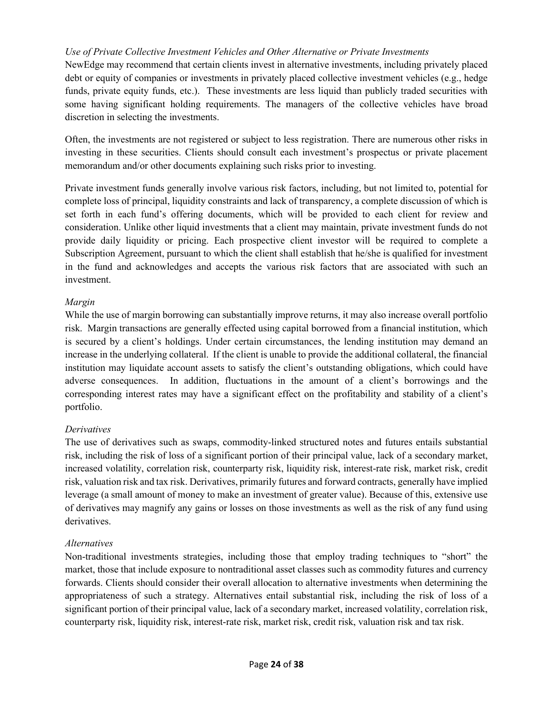## *Use of Private Collective Investment Vehicles and Other Alternative or Private Investments*

NewEdge may recommend that certain clients invest in alternative investments, including privately placed debt or equity of companies or investments in privately placed collective investment vehicles (e.g., hedge funds, private equity funds, etc.). These investments are less liquid than publicly traded securities with some having significant holding requirements. The managers of the collective vehicles have broad discretion in selecting the investments.

Often, the investments are not registered or subject to less registration. There are numerous other risks in investing in these securities. Clients should consult each investment's prospectus or private placement memorandum and/or other documents explaining such risks prior to investing.

Private investment funds generally involve various risk factors, including, but not limited to, potential for complete loss of principal, liquidity constraints and lack of transparency, a complete discussion of which is set forth in each fund's offering documents, which will be provided to each client for review and consideration. Unlike other liquid investments that a client may maintain, private investment funds do not provide daily liquidity or pricing. Each prospective client investor will be required to complete a Subscription Agreement, pursuant to which the client shall establish that he/she is qualified for investment in the fund and acknowledges and accepts the various risk factors that are associated with such an investment.

#### *Margin*

While the use of margin borrowing can substantially improve returns, it may also increase overall portfolio risk. Margin transactions are generally effected using capital borrowed from a financial institution, which is secured by a client's holdings. Under certain circumstances, the lending institution may demand an increase in the underlying collateral. If the client is unable to provide the additional collateral, the financial institution may liquidate account assets to satisfy the client's outstanding obligations, which could have adverse consequences. In addition, fluctuations in the amount of a client's borrowings and the corresponding interest rates may have a significant effect on the profitability and stability of a client's portfolio.

# *Derivatives*

The use of derivatives such as swaps, commodity-linked structured notes and futures entails substantial risk, including the risk of loss of a significant portion of their principal value, lack of a secondary market, increased volatility, correlation risk, counterparty risk, liquidity risk, interest-rate risk, market risk, credit risk, valuation risk and tax risk. Derivatives, primarily futures and forward contracts, generally have implied leverage (a small amount of money to make an investment of greater value). Because of this, extensive use of derivatives may magnify any gains or losses on those investments as well as the risk of any fund using derivatives.

#### *Alternatives*

Non-traditional investments strategies, including those that employ trading techniques to "short" the market, those that include exposure to nontraditional asset classes such as commodity futures and currency forwards. Clients should consider their overall allocation to alternative investments when determining the appropriateness of such a strategy. Alternatives entail substantial risk, including the risk of loss of a significant portion of their principal value, lack of a secondary market, increased volatility, correlation risk, counterparty risk, liquidity risk, interest-rate risk, market risk, credit risk, valuation risk and tax risk.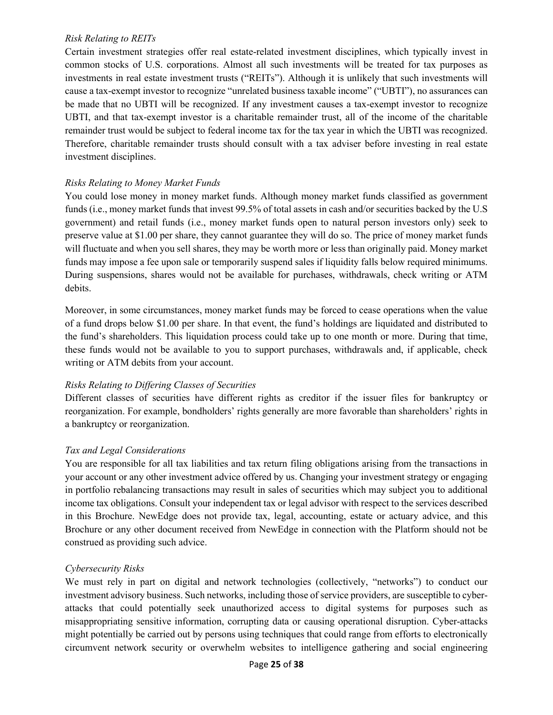#### *Risk Relating to REITs*

Certain investment strategies offer real estate-related investment disciplines, which typically invest in common stocks of U.S. corporations. Almost all such investments will be treated for tax purposes as investments in real estate investment trusts ("REITs"). Although it is unlikely that such investments will cause a tax-exempt investor to recognize "unrelated business taxable income" ("UBTI"), no assurances can be made that no UBTI will be recognized. If any investment causes a tax-exempt investor to recognize UBTI, and that tax-exempt investor is a charitable remainder trust, all of the income of the charitable remainder trust would be subject to federal income tax for the tax year in which the UBTI was recognized. Therefore, charitable remainder trusts should consult with a tax adviser before investing in real estate investment disciplines.

#### *Risks Relating to Money Market Funds*

You could lose money in money market funds. Although money market funds classified as government funds (i.e., money market funds that invest 99.5% of total assets in cash and/or securities backed by the U.S government) and retail funds (i.e., money market funds open to natural person investors only) seek to preserve value at \$1.00 per share, they cannot guarantee they will do so. The price of money market funds will fluctuate and when you sell shares, they may be worth more or less than originally paid. Money market funds may impose a fee upon sale or temporarily suspend sales if liquidity falls below required minimums. During suspensions, shares would not be available for purchases, withdrawals, check writing or ATM debits.

Moreover, in some circumstances, money market funds may be forced to cease operations when the value of a fund drops below \$1.00 per share. In that event, the fund's holdings are liquidated and distributed to the fund's shareholders. This liquidation process could take up to one month or more. During that time, these funds would not be available to you to support purchases, withdrawals and, if applicable, check writing or ATM debits from your account.

#### *Risks Relating to Differing Classes of Securities*

Different classes of securities have different rights as creditor if the issuer files for bankruptcy or reorganization. For example, bondholders' rights generally are more favorable than shareholders' rights in a bankruptcy or reorganization.

#### *Tax and Legal Considerations*

You are responsible for all tax liabilities and tax return filing obligations arising from the transactions in your account or any other investment advice offered by us. Changing your investment strategy or engaging in portfolio rebalancing transactions may result in sales of securities which may subject you to additional income tax obligations. Consult your independent tax or legal advisor with respect to the services described in this Brochure. NewEdge does not provide tax, legal, accounting, estate or actuary advice, and this Brochure or any other document received from NewEdge in connection with the Platform should not be construed as providing such advice.

#### *Cybersecurity Risks*

We must rely in part on digital and network technologies (collectively, "networks") to conduct our investment advisory business. Such networks, including those of service providers, are susceptible to cyberattacks that could potentially seek unauthorized access to digital systems for purposes such as misappropriating sensitive information, corrupting data or causing operational disruption. Cyber-attacks might potentially be carried out by persons using techniques that could range from efforts to electronically circumvent network security or overwhelm websites to intelligence gathering and social engineering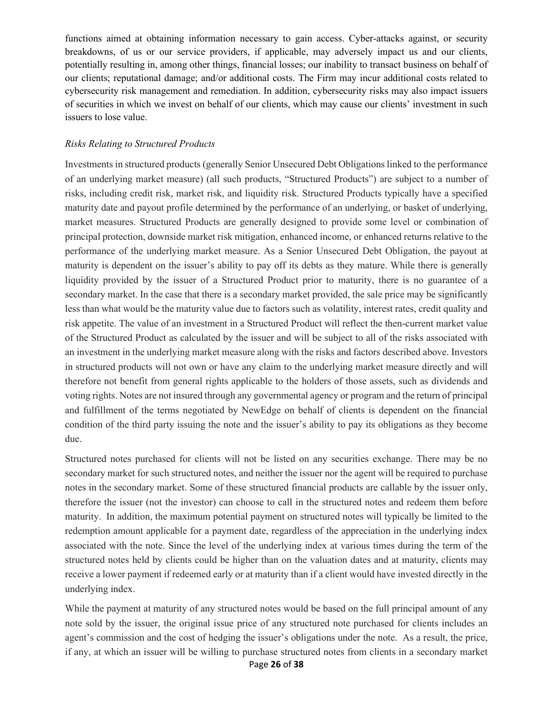functions aimed at obtaining information necessary to gain access. Cyber-attacks against, or security breakdowns, of us or our service providers, if applicable, may adversely impact us and our clients, potentially resulting in, among other things, financial losses; our inability to transact business on behalf of our clients; reputational damage; and/or additional costs. The Firm may incur additional costs related to cybersecurity risk management and remediation. In addition, cybersecurity risks may also impact issuers of securities in which we invest on behalf of our clients, which may cause our clients' investment in such issuers to lose value.

#### *Risks Relating to Structured Products*

Investments in structured products (generally Senior Unsecured Debt Obligations linked to the performance of an underlying market measure) (all such products, "Structured Products") are subject to a number of risks, including credit risk, market risk, and liquidity risk. Structured Products typically have a specified maturity date and payout profile determined by the performance of an underlying, or basket of underlying, market measures. Structured Products are generally designed to provide some level or combination of principal protection, downside market risk mitigation, enhanced income, or enhanced returns relative to the performance of the underlying market measure. As a Senior Unsecured Debt Obligation, the payout at maturity is dependent on the issuer's ability to pay off its debts as they mature. While there is generally liquidity provided by the issuer of a Structured Product prior to maturity, there is no guarantee of a secondary market. In the case that there is a secondary market provided, the sale price may be significantly less than what would be the maturity value due to factors such as volatility, interest rates, credit quality and risk appetite. The value of an investment in a Structured Product will reflect the then-current market value of the Structured Product as calculated by the issuer and will be subject to all of the risks associated with an investment in the underlying market measure along with the risks and factors described above. Investors in structured products will not own or have any claim to the underlying market measure directly and will therefore not benefit from general rights applicable to the holders of those assets, such as dividends and voting rights. Notes are not insured through any governmental agency or program and the return of principal and fulfillment of the terms negotiated by NewEdge on behalf of clients is dependent on the financial condition of the third party issuing the note and the issuer's ability to pay its obligations as they become due.

Structured notes purchased for clients will not be listed on any securities exchange. There may be no secondary market for such structured notes, and neither the issuer nor the agent will be required to purchase notes in the secondary market. Some of these structured financial products are callable by the issuer only, therefore the issuer (not the investor) can choose to call in the structured notes and redeem them before maturity. In addition, the maximum potential payment on structured notes will typically be limited to the redemption amount applicable for a payment date, regardless of the appreciation in the underlying index associated with the note. Since the level of the underlying index at various times during the term of the structured notes held by clients could be higher than on the valuation dates and at maturity, clients may receive a lower payment if redeemed early or at maturity than if a client would have invested directly in the underlying index.

Page **26** of **38** While the payment at maturity of any structured notes would be based on the full principal amount of any note sold by the issuer, the original issue price of any structured note purchased for clients includes an agent's commission and the cost of hedging the issuer's obligations under the note. As a result, the price, if any, at which an issuer will be willing to purchase structured notes from clients in a secondary market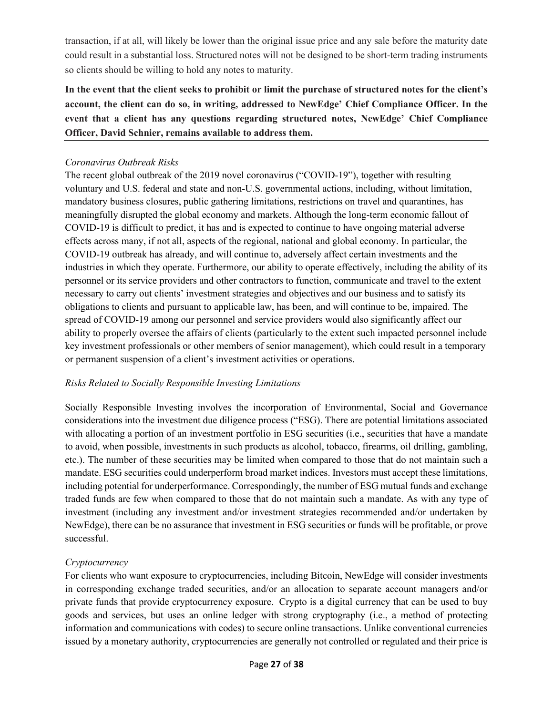transaction, if at all, will likely be lower than the original issue price and any sale before the maturity date could result in a substantial loss. Structured notes will not be designed to be short-term trading instruments so clients should be willing to hold any notes to maturity.

**In the event that the client seeks to prohibit or limit the purchase of structured notes for the client's account, the client can do so, in writing, addressed to NewEdge' Chief Compliance Officer. In the event that a client has any questions regarding structured notes, NewEdge' Chief Compliance Officer, David Schnier, remains available to address them.** 

## *Coronavirus Outbreak Risks*

The recent global outbreak of the 2019 novel coronavirus ("COVID-19"), together with resulting voluntary and U.S. federal and state and non-U.S. governmental actions, including, without limitation, mandatory business closures, public gathering limitations, restrictions on travel and quarantines, has meaningfully disrupted the global economy and markets. Although the long-term economic fallout of COVID-19 is difficult to predict, it has and is expected to continue to have ongoing material adverse effects across many, if not all, aspects of the regional, national and global economy. In particular, the COVID-19 outbreak has already, and will continue to, adversely affect certain investments and the industries in which they operate. Furthermore, our ability to operate effectively, including the ability of its personnel or its service providers and other contractors to function, communicate and travel to the extent necessary to carry out clients' investment strategies and objectives and our business and to satisfy its obligations to clients and pursuant to applicable law, has been, and will continue to be, impaired. The spread of COVID-19 among our personnel and service providers would also significantly affect our ability to properly oversee the affairs of clients (particularly to the extent such impacted personnel include key investment professionals or other members of senior management), which could result in a temporary or permanent suspension of a client's investment activities or operations.

# *Risks Related to Socially Responsible Investing Limitations*

Socially Responsible Investing involves the incorporation of Environmental, Social and Governance considerations into the investment due diligence process ("ESG). There are potential limitations associated with allocating a portion of an investment portfolio in ESG securities (i.e., securities that have a mandate to avoid, when possible, investments in such products as alcohol, tobacco, firearms, oil drilling, gambling, etc.). The number of these securities may be limited when compared to those that do not maintain such a mandate. ESG securities could underperform broad market indices. Investors must accept these limitations, including potential for underperformance. Correspondingly, the number of ESG mutual funds and exchange traded funds are few when compared to those that do not maintain such a mandate. As with any type of investment (including any investment and/or investment strategies recommended and/or undertaken by NewEdge), there can be no assurance that investment in ESG securities or funds will be profitable, or prove successful.

# *Cryptocurrency*

For clients who want exposure to cryptocurrencies, including Bitcoin, NewEdge will consider investments in corresponding exchange traded securities, and/or an allocation to separate account managers and/or private funds that provide cryptocurrency exposure. Crypto is a digital currency that can be used to buy goods and services, but uses an online ledger with strong cryptography (i.e., a method of protecting information and communications with codes) to secure online transactions. Unlike conventional currencies issued by a monetary authority, cryptocurrencies are generally not controlled or regulated and their price is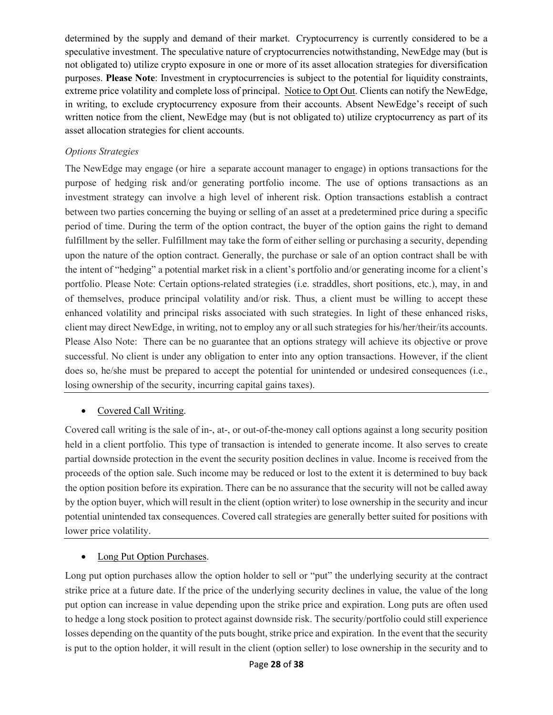determined by the supply and demand of their market. Cryptocurrency is currently considered to be a speculative investment. The speculative nature of cryptocurrencies notwithstanding, NewEdge may (but is not obligated to) utilize crypto exposure in one or more of its asset allocation strategies for diversification purposes. **Please Note**: Investment in cryptocurrencies is subject to the potential for liquidity constraints, extreme price volatility and complete loss of principal. Notice to Opt Out. Clients can notify the NewEdge, in writing, to exclude cryptocurrency exposure from their accounts. Absent NewEdge's receipt of such written notice from the client, NewEdge may (but is not obligated to) utilize cryptocurrency as part of its asset allocation strategies for client accounts.

### *Options Strategies*

The NewEdge may engage (or hire a separate account manager to engage) in options transactions for the purpose of hedging risk and/or generating portfolio income. The use of options transactions as an investment strategy can involve a high level of inherent risk. Option transactions establish a contract between two parties concerning the buying or selling of an asset at a predetermined price during a specific period of time. During the term of the option contract, the buyer of the option gains the right to demand fulfillment by the seller. Fulfillment may take the form of either selling or purchasing a security, depending upon the nature of the option contract. Generally, the purchase or sale of an option contract shall be with the intent of "hedging" a potential market risk in a client's portfolio and/or generating income for a client's portfolio. Please Note: Certain options-related strategies (i.e. straddles, short positions, etc.), may, in and of themselves, produce principal volatility and/or risk. Thus, a client must be willing to accept these enhanced volatility and principal risks associated with such strategies. In light of these enhanced risks, client may direct NewEdge, in writing, not to employ any or all such strategies for his/her/their/its accounts. Please Also Note: There can be no guarantee that an options strategy will achieve its objective or prove successful. No client is under any obligation to enter into any option transactions. However, if the client does so, he/she must be prepared to accept the potential for unintended or undesired consequences (i.e., losing ownership of the security, incurring capital gains taxes).

#### • Covered Call Writing.

Covered call writing is the sale of in-, at-, or out-of-the-money call options against a long security position held in a client portfolio. This type of transaction is intended to generate income. It also serves to create partial downside protection in the event the security position declines in value. Income is received from the proceeds of the option sale. Such income may be reduced or lost to the extent it is determined to buy back the option position before its expiration. There can be no assurance that the security will not be called away by the option buyer, which will result in the client (option writer) to lose ownership in the security and incur potential unintended tax consequences. Covered call strategies are generally better suited for positions with lower price volatility.

# • Long Put Option Purchases.

Long put option purchases allow the option holder to sell or "put" the underlying security at the contract strike price at a future date. If the price of the underlying security declines in value, the value of the long put option can increase in value depending upon the strike price and expiration. Long puts are often used to hedge a long stock position to protect against downside risk. The security/portfolio could still experience losses depending on the quantity of the puts bought, strike price and expiration. In the event that the security is put to the option holder, it will result in the client (option seller) to lose ownership in the security and to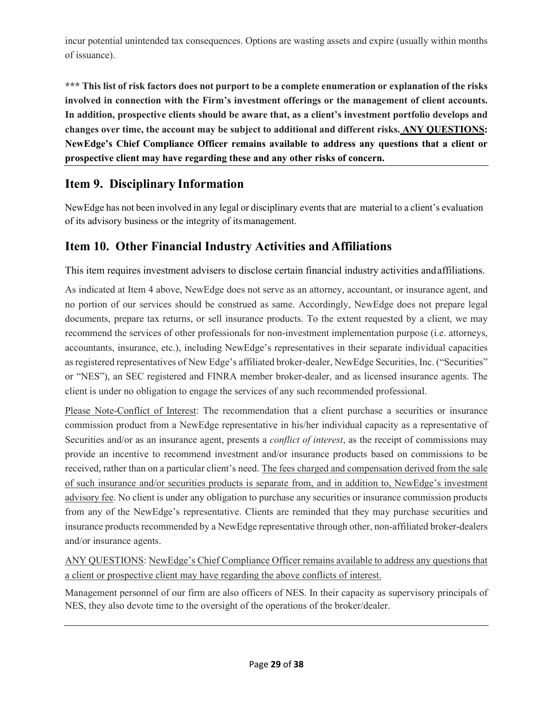incur potential unintended tax consequences. Options are wasting assets and expire (usually within months of issuance).

**\*\*\* This list of risk factors does not purport to be a complete enumeration or explanation of the risks involved in connection with the Firm's investment offerings or the management of client accounts. In addition, prospective clients should be aware that, as a client's investment portfolio develops and changes over time, the account may be subject to additional and different risks. ANY QUESTIONS: NewEdge's Chief Compliance Officer remains available to address any questions that a client or prospective client may have regarding these and any other risks of concern.** 

# <span id="page-28-0"></span>**Item 9. Disciplinary Information**

NewEdge has not been involved in any legal or disciplinary events that are material to a client's evaluation of its advisory business or the integrity of itsmanagement.

# <span id="page-28-1"></span>**Item 10. Other Financial Industry Activities and Affiliations**

This item requires investment advisers to disclose certain financial industry activities and affiliations.

As indicated at Item 4 above, NewEdge does not serve as an attorney, accountant, or insurance agent, and no portion of our services should be construed as same. Accordingly, NewEdge does not prepare legal documents, prepare tax returns, or sell insurance products. To the extent requested by a client, we may recommend the services of other professionals for non-investment implementation purpose (i.e. attorneys, accountants, insurance, etc.), including NewEdge's representatives in their separate individual capacities as registered representatives of New Edge's affiliated broker-dealer, NewEdge Securities, Inc. ("Securities" or "NES"), an SEC registered and FINRA member broker-dealer, and as licensed insurance agents. The client is under no obligation to engage the services of any such recommended professional.

Please Note-Conflict of Interest: The recommendation that a client purchase a securities or insurance commission product from a NewEdge representative in his/her individual capacity as a representative of Securities and/or as an insurance agent, presents a *conflict of interest*, as the receipt of commissions may provide an incentive to recommend investment and/or insurance products based on commissions to be received, rather than on a particular client's need. The fees charged and compensation derived from the sale of such insurance and/or securities products is separate from, and in addition to, NewEdge's investment advisory fee. No client is under any obligation to purchase any securities or insurance commission products from any of the NewEdge's representative. Clients are reminded that they may purchase securities and insurance products recommended by a NewEdge representative through other, non-affiliated broker-dealers and/or insurance agents.

ANY QUESTIONS: NewEdge's Chief Compliance Officer remains available to address any questions that a client or prospective client may have regarding the above conflicts of interest.

Management personnel of our firm are also officers of NES. In their capacity as supervisory principals of NES, they also devote time to the oversight of the operations of the broker/dealer.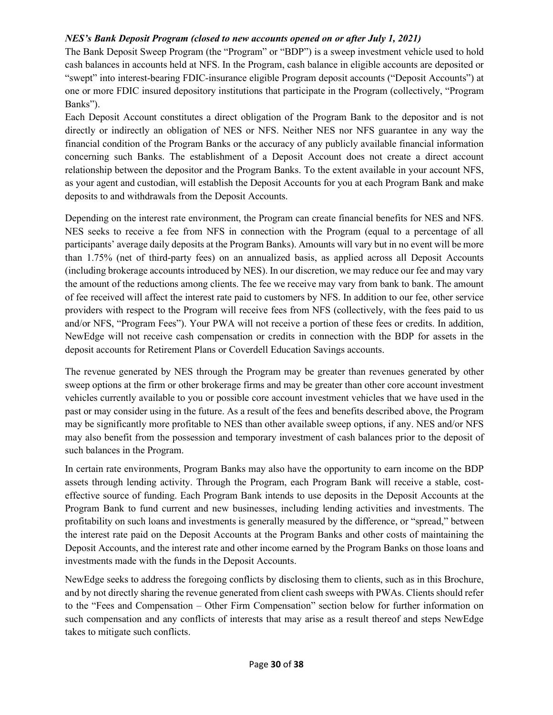#### *NES's Bank Deposit Program (closed to new accounts opened on or after July 1, 2021)*

The Bank Deposit Sweep Program (the "Program" or "BDP") is a sweep investment vehicle used to hold cash balances in accounts held at NFS. In the Program, cash balance in eligible accounts are deposited or "swept" into interest-bearing FDIC-insurance eligible Program deposit accounts ("Deposit Accounts") at one or more FDIC insured depository institutions that participate in the Program (collectively, "Program Banks").

Each Deposit Account constitutes a direct obligation of the Program Bank to the depositor and is not directly or indirectly an obligation of NES or NFS. Neither NES nor NFS guarantee in any way the financial condition of the Program Banks or the accuracy of any publicly available financial information concerning such Banks. The establishment of a Deposit Account does not create a direct account relationship between the depositor and the Program Banks. To the extent available in your account NFS, as your agent and custodian, will establish the Deposit Accounts for you at each Program Bank and make deposits to and withdrawals from the Deposit Accounts.

Depending on the interest rate environment, the Program can create financial benefits for NES and NFS. NES seeks to receive a fee from NFS in connection with the Program (equal to a percentage of all participants' average daily deposits at the Program Banks). Amounts will vary but in no event will be more than 1.75% (net of third-party fees) on an annualized basis, as applied across all Deposit Accounts (including brokerage accounts introduced by NES). In our discretion, we may reduce our fee and may vary the amount of the reductions among clients. The fee we receive may vary from bank to bank. The amount of fee received will affect the interest rate paid to customers by NFS. In addition to our fee, other service providers with respect to the Program will receive fees from NFS (collectively, with the fees paid to us and/or NFS, "Program Fees"). Your PWA will not receive a portion of these fees or credits. In addition, NewEdge will not receive cash compensation or credits in connection with the BDP for assets in the deposit accounts for Retirement Plans or Coverdell Education Savings accounts.

The revenue generated by NES through the Program may be greater than revenues generated by other sweep options at the firm or other brokerage firms and may be greater than other core account investment vehicles currently available to you or possible core account investment vehicles that we have used in the past or may consider using in the future. As a result of the fees and benefits described above, the Program may be significantly more profitable to NES than other available sweep options, if any. NES and/or NFS may also benefit from the possession and temporary investment of cash balances prior to the deposit of such balances in the Program.

In certain rate environments, Program Banks may also have the opportunity to earn income on the BDP assets through lending activity. Through the Program, each Program Bank will receive a stable, costeffective source of funding. Each Program Bank intends to use deposits in the Deposit Accounts at the Program Bank to fund current and new businesses, including lending activities and investments. The profitability on such loans and investments is generally measured by the difference, or "spread," between the interest rate paid on the Deposit Accounts at the Program Banks and other costs of maintaining the Deposit Accounts, and the interest rate and other income earned by the Program Banks on those loans and investments made with the funds in the Deposit Accounts.

NewEdge seeks to address the foregoing conflicts by disclosing them to clients, such as in this Brochure, and by not directly sharing the revenue generated from client cash sweeps with PWAs. Clients should refer to the "Fees and Compensation – Other Firm Compensation" section below for further information on such compensation and any conflicts of interests that may arise as a result thereof and steps NewEdge takes to mitigate such conflicts.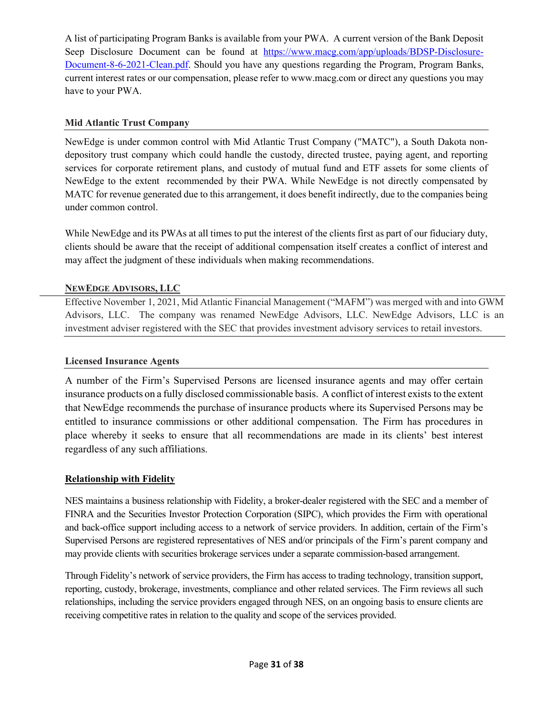A list of participating Program Banks is available from your PWA. A current version of the Bank Deposit Seep Disclosure Document can be found at [https://www.macg.com/app/uploads/BDSP-Disclosure-](https://www.macg.com/app/uploads/BDSP-Disclosure-Document-8-6-2021-Clean.pdf)[Document-8-6-2021-Clean.pdf.](https://www.macg.com/app/uploads/BDSP-Disclosure-Document-8-6-2021-Clean.pdf) Should you have any questions regarding the Program, Program Banks, current interest rates or our compensation, please refer to www.macg.com or direct any questions you may have to your PWA.

### **Mid Atlantic Trust Company**

NewEdge is under common control with Mid Atlantic Trust Company ("MATC"), a South Dakota nondepository trust company which could handle the custody, directed trustee, paying agent, and reporting services for corporate retirement plans, and custody of mutual fund and ETF assets for some clients of NewEdge to the extent recommended by their PWA. While NewEdge is not directly compensated by MATC for revenue generated due to this arrangement, it does benefit indirectly, due to the companies being under common control.

While NewEdge and its PWAs at all times to put the interest of the clients first as part of our fiduciary duty, clients should be aware that the receipt of additional compensation itself creates a conflict of interest and may affect the judgment of these individuals when making recommendations.

## **NEWEDGE ADVISORS, LLC**

Effective November 1, 2021, Mid Atlantic Financial Management ("MAFM") was merged with and into GWM Advisors, LLC. The company was renamed NewEdge Advisors, LLC. NewEdge Advisors, LLC is an investment adviser registered with the SEC that provides investment advisory services to retail investors.

### **Licensed Insurance Agents**

A number of the Firm's Supervised Persons are licensed insurance agents and may offer certain insurance products on a fully disclosed commissionable basis. A conflict of interest exists to the extent that NewEdge recommends the purchase of insurance products where its Supervised Persons may be entitled to insurance commissions or other additional compensation. The Firm has procedures in place whereby it seeks to ensure that all recommendations are made in its clients' best interest regardless of any such affiliations.

#### **Relationship with Fidelity**

NES maintains a business relationship with Fidelity, a broker-dealer registered with the SEC and a member of FINRA and the Securities Investor Protection Corporation (SIPC), which provides the Firm with operational and back-office support including access to a network of service providers. In addition, certain of the Firm's Supervised Persons are registered representatives of NES and/or principals of the Firm's parent company and may provide clients with securities brokerage services under a separate commission-based arrangement.

Through Fidelity's network of service providers, the Firm has access to trading technology, transition support, reporting, custody, brokerage, investments, compliance and other related services. The Firm reviews all such relationships, including the service providers engaged through NES, on an ongoing basis to ensure clients are receiving competitive rates in relation to the quality and scope of the services provided.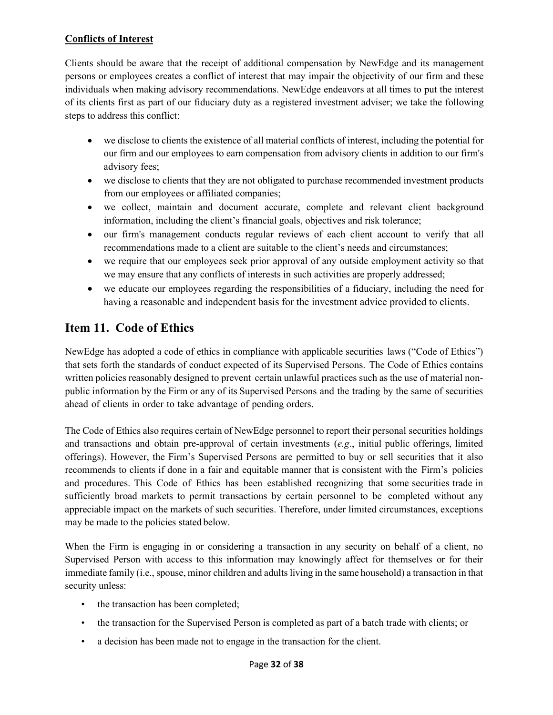# **Conflicts of Interest**

Clients should be aware that the receipt of additional compensation by NewEdge and its management persons or employees creates a conflict of interest that may impair the objectivity of our firm and these individuals when making advisory recommendations. NewEdge endeavors at all times to put the interest of its clients first as part of our fiduciary duty as a registered investment adviser; we take the following steps to address this conflict:

- we disclose to clients the existence of all material conflicts of interest, including the potential for our firm and our employees to earn compensation from advisory clients in addition to our firm's advisory fees;
- we disclose to clients that they are not obligated to purchase recommended investment products from our employees or affiliated companies;
- we collect, maintain and document accurate, complete and relevant client background information, including the client's financial goals, objectives and risk tolerance;
- our firm's management conducts regular reviews of each client account to verify that all recommendations made to a client are suitable to the client's needs and circumstances;
- we require that our employees seek prior approval of any outside employment activity so that we may ensure that any conflicts of interests in such activities are properly addressed;
- we educate our employees regarding the responsibilities of a fiduciary, including the need for having a reasonable and independent basis for the investment advice provided to clients.

# <span id="page-31-0"></span>**Item 11. Code of Ethics**

NewEdge has adopted a code of ethics in compliance with applicable securities laws ("Code of Ethics") that sets forth the standards of conduct expected of its Supervised Persons. The Code of Ethics contains written policies reasonably designed to prevent certain unlawful practices such as the use of material nonpublic information by the Firm or any of its Supervised Persons and the trading by the same of securities ahead of clients in order to take advantage of pending orders.

The Code of Ethics also requires certain of NewEdge personnel to report their personal securities holdings and transactions and obtain pre-approval of certain investments (*e.g*., initial public offerings, limited offerings). However, the Firm's Supervised Persons are permitted to buy or sell securities that it also recommends to clients if done in a fair and equitable manner that is consistent with the Firm's policies and procedures. This Code of Ethics has been established recognizing that some securities trade in sufficiently broad markets to permit transactions by certain personnel to be completed without any appreciable impact on the markets of such securities. Therefore, under limited circumstances, exceptions may be made to the policies stated below.

When the Firm is engaging in or considering a transaction in any security on behalf of a client, no Supervised Person with access to this information may knowingly affect for themselves or for their immediate family (i.e., spouse, minor children and adults living in the same household) a transaction in that security unless:

- the transaction has been completed;
- the transaction for the Supervised Person is completed as part of a batch trade with clients; or
- a decision has been made not to engage in the transaction for the client.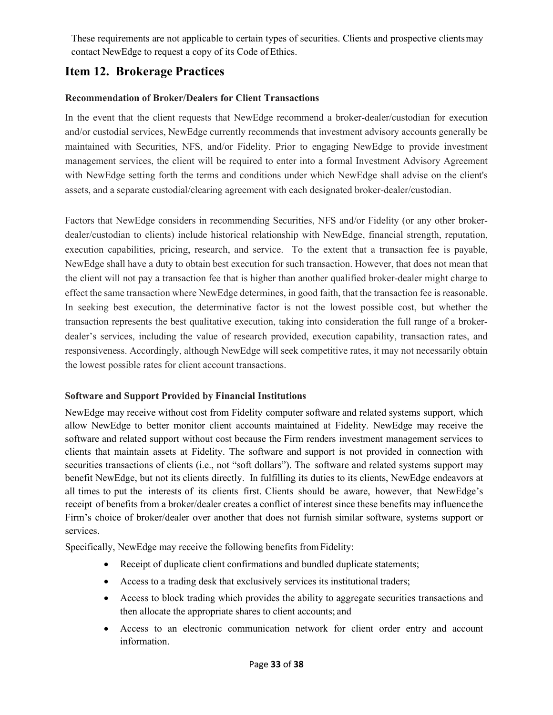These requirements are not applicable to certain types of securities. Clients and prospective clientsmay contact NewEdge to request a copy of its Code of Ethics.

# <span id="page-32-0"></span>**Item 12. Brokerage Practices**

## **Recommendation of Broker/Dealers for Client Transactions**

In the event that the client requests that NewEdge recommend a broker-dealer/custodian for execution and/or custodial services, NewEdge currently recommends that investment advisory accounts generally be maintained with Securities, NFS, and/or Fidelity. Prior to engaging NewEdge to provide investment management services, the client will be required to enter into a formal Investment Advisory Agreement with NewEdge setting forth the terms and conditions under which NewEdge shall advise on the client's assets, and a separate custodial/clearing agreement with each designated broker-dealer/custodian.

Factors that NewEdge considers in recommending Securities, NFS and/or Fidelity (or any other brokerdealer/custodian to clients) include historical relationship with NewEdge, financial strength, reputation, execution capabilities, pricing, research, and service. To the extent that a transaction fee is payable, NewEdge shall have a duty to obtain best execution for such transaction. However, that does not mean that the client will not pay a transaction fee that is higher than another qualified broker-dealer might charge to effect the same transaction where NewEdge determines, in good faith, that the transaction fee is reasonable. In seeking best execution, the determinative factor is not the lowest possible cost, but whether the transaction represents the best qualitative execution, taking into consideration the full range of a brokerdealer's services, including the value of research provided, execution capability, transaction rates, and responsiveness. Accordingly, although NewEdge will seek competitive rates, it may not necessarily obtain the lowest possible rates for client account transactions.

# **Software and Support Provided by Financial Institutions**

NewEdge may receive without cost from Fidelity computer software and related systems support, which allow NewEdge to better monitor client accounts maintained at Fidelity. NewEdge may receive the software and related support without cost because the Firm renders investment management services to clients that maintain assets at Fidelity. The software and support is not provided in connection with securities transactions of clients (i.e., not "soft dollars"). The software and related systems support may benefit NewEdge, but not its clients directly. In fulfilling its duties to its clients, NewEdge endeavors at all times to put the interests of its clients first. Clients should be aware, however, that NewEdge's receipt of benefits from a broker/dealer creates a conflict of interest since these benefits may influencethe Firm's choice of broker/dealer over another that does not furnish similar software, systems support or services.

Specifically, NewEdge may receive the following benefits fromFidelity:

- Receipt of duplicate client confirmations and bundled duplicate statements;
- Access to a trading desk that exclusively services its institutional traders;
- Access to block trading which provides the ability to aggregate securities transactions and then allocate the appropriate shares to client accounts; and
- Access to an electronic communication network for client order entry and account information.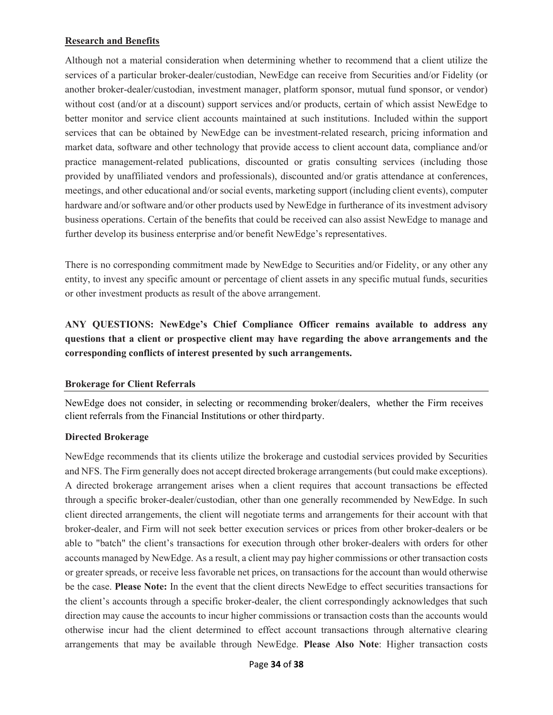#### **Research and Benefits**

Although not a material consideration when determining whether to recommend that a client utilize the services of a particular broker-dealer/custodian, NewEdge can receive from Securities and/or Fidelity (or another broker-dealer/custodian, investment manager, platform sponsor, mutual fund sponsor, or vendor) without cost (and/or at a discount) support services and/or products, certain of which assist NewEdge to better monitor and service client accounts maintained at such institutions. Included within the support services that can be obtained by NewEdge can be investment-related research, pricing information and market data, software and other technology that provide access to client account data, compliance and/or practice management-related publications, discounted or gratis consulting services (including those provided by unaffiliated vendors and professionals), discounted and/or gratis attendance at conferences, meetings, and other educational and/or social events, marketing support (including client events), computer hardware and/or software and/or other products used by NewEdge in furtherance of its investment advisory business operations. Certain of the benefits that could be received can also assist NewEdge to manage and further develop its business enterprise and/or benefit NewEdge's representatives.

There is no corresponding commitment made by NewEdge to Securities and/or Fidelity, or any other any entity, to invest any specific amount or percentage of client assets in any specific mutual funds, securities or other investment products as result of the above arrangement.

**ANY QUESTIONS: NewEdge's Chief Compliance Officer remains available to address any questions that a client or prospective client may have regarding the above arrangements and the corresponding conflicts of interest presented by such arrangements.** 

#### **Brokerage for Client Referrals**

NewEdge does not consider, in selecting or recommending broker/dealers, whether the Firm receives client referrals from the Financial Institutions or other third party.

#### **Directed Brokerage**

NewEdge recommends that its clients utilize the brokerage and custodial services provided by Securities and NFS. The Firm generally does not accept directed brokerage arrangements (but could make exceptions). A directed brokerage arrangement arises when a client requires that account transactions be effected through a specific broker-dealer/custodian, other than one generally recommended by NewEdge. In such client directed arrangements, the client will negotiate terms and arrangements for their account with that broker-dealer, and Firm will not seek better execution services or prices from other broker-dealers or be able to "batch" the client's transactions for execution through other broker-dealers with orders for other accounts managed by NewEdge. As a result, a client may pay higher commissions or other transaction costs or greater spreads, or receive less favorable net prices, on transactions for the account than would otherwise be the case. **Please Note:** In the event that the client directs NewEdge to effect securities transactions for the client's accounts through a specific broker-dealer, the client correspondingly acknowledges that such direction may cause the accounts to incur higher commissions or transaction costs than the accounts would otherwise incur had the client determined to effect account transactions through alternative clearing arrangements that may be available through NewEdge. **Please Also Note**: Higher transaction costs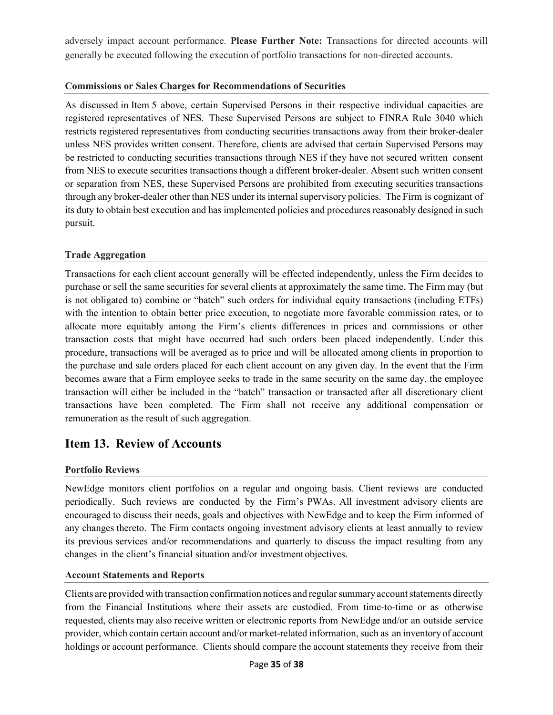adversely impact account performance. **Please Further Note:** Transactions for directed accounts will generally be executed following the execution of portfolio transactions for non-directed accounts.

#### **Commissions or Sales Charges for Recommendations of Securities**

As discussed in Item 5 above, certain Supervised Persons in their respective individual capacities are registered representatives of NES. These Supervised Persons are subject to FINRA Rule 3040 which restricts registered representatives from conducting securities transactions away from their broker-dealer unless NES provides written consent. Therefore, clients are advised that certain Supervised Persons may be restricted to conducting securities transactions through NES if they have not secured written consent from NES to execute securities transactions though a different broker-dealer. Absent such written consent or separation from NES, these Supervised Persons are prohibited from executing securities transactions through any broker-dealer other than NES under its internal supervisory policies. The Firm is cognizant of its duty to obtain best execution and has implemented policies and procedures reasonably designed in such pursuit.

#### **Trade Aggregation**

Transactions for each client account generally will be effected independently, unless the Firm decides to purchase or sell the same securities for several clients at approximately the same time. The Firm may (but is not obligated to) combine or "batch" such orders for individual equity transactions (including ETFs) with the intention to obtain better price execution, to negotiate more favorable commission rates, or to allocate more equitably among the Firm's clients differences in prices and commissions or other transaction costs that might have occurred had such orders been placed independently. Under this procedure, transactions will be averaged as to price and will be allocated among clients in proportion to the purchase and sale orders placed for each client account on any given day. In the event that the Firm becomes aware that a Firm employee seeks to trade in the same security on the same day, the employee transaction will either be included in the "batch" transaction or transacted after all discretionary client transactions have been completed. The Firm shall not receive any additional compensation or remuneration as the result of such aggregation.

# <span id="page-34-0"></span>**Item 13. Review of Accounts**

#### **Portfolio Reviews**

NewEdge monitors client portfolios on a regular and ongoing basis. Client reviews are conducted periodically. Such reviews are conducted by the Firm's PWAs. All investment advisory clients are encouraged to discuss their needs, goals and objectives with NewEdge and to keep the Firm informed of any changes thereto. The Firm contacts ongoing investment advisory clients at least annually to review its previous services and/or recommendations and quarterly to discuss the impact resulting from any changes in the client's financial situation and/or investment objectives.

#### **Account Statements and Reports**

Clients are provided with transaction confirmation notices and regularsummary account statements directly from the Financial Institutions where their assets are custodied. From time-to-time or as otherwise requested, clients may also receive written or electronic reports from NewEdge and/or an outside service provider, which contain certain account and/or market-related information, such as an inventory of account holdings or account performance. Clients should compare the account statements they receive from their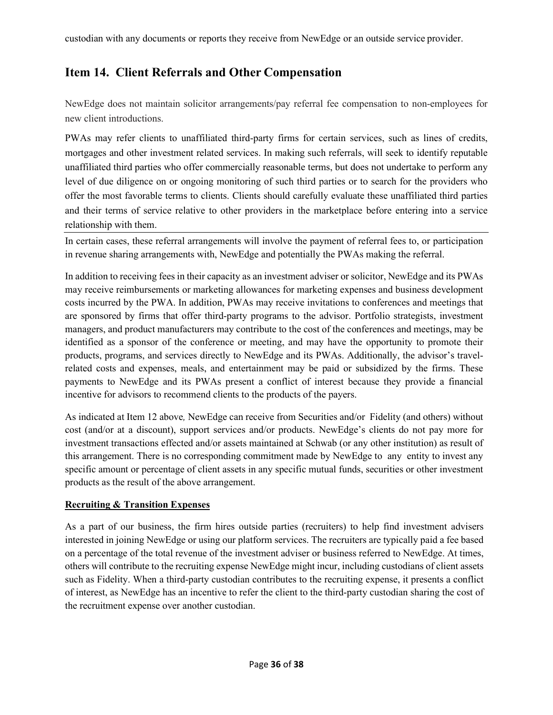# <span id="page-35-0"></span>**Item 14. Client Referrals and Other Compensation**

NewEdge does not maintain solicitor arrangements/pay referral fee compensation to non-employees for new client introductions.

PWAs may refer clients to unaffiliated third-party firms for certain services, such as lines of credits, mortgages and other investment related services. In making such referrals, will seek to identify reputable unaffiliated third parties who offer commercially reasonable terms, but does not undertake to perform any level of due diligence on or ongoing monitoring of such third parties or to search for the providers who offer the most favorable terms to clients. Clients should carefully evaluate these unaffiliated third parties and their terms of service relative to other providers in the marketplace before entering into a service relationship with them.

In certain cases, these referral arrangements will involve the payment of referral fees to, or participation in revenue sharing arrangements with, NewEdge and potentially the PWAs making the referral.

In addition to receiving fees in their capacity as an investment adviser or solicitor, NewEdge and its PWAs may receive reimbursements or marketing allowances for marketing expenses and business development costs incurred by the PWA. In addition, PWAs may receive invitations to conferences and meetings that are sponsored by firms that offer third-party programs to the advisor. Portfolio strategists, investment managers, and product manufacturers may contribute to the cost of the conferences and meetings, may be identified as a sponsor of the conference or meeting, and may have the opportunity to promote their products, programs, and services directly to NewEdge and its PWAs. Additionally, the advisor's travelrelated costs and expenses, meals, and entertainment may be paid or subsidized by the firms. These payments to NewEdge and its PWAs present a conflict of interest because they provide a financial incentive for advisors to recommend clients to the products of the payers.

As indicated at Item 12 above*,* NewEdge can receive from Securities and/or Fidelity (and others) without cost (and/or at a discount), support services and/or products. NewEdge's clients do not pay more for investment transactions effected and/or assets maintained at Schwab (or any other institution) as result of this arrangement. There is no corresponding commitment made by NewEdge to any entity to invest any specific amount or percentage of client assets in any specific mutual funds, securities or other investment products as the result of the above arrangement.

# **Recruiting & Transition Expenses**

As a part of our business, the firm hires outside parties (recruiters) to help find investment advisers interested in joining NewEdge or using our platform services. The recruiters are typically paid a fee based on a percentage of the total revenue of the investment adviser or business referred to NewEdge. At times, others will contribute to the recruiting expense NewEdge might incur, including custodians of client assets such as Fidelity. When a third-party custodian contributes to the recruiting expense, it presents a conflict of interest, as NewEdge has an incentive to refer the client to the third-party custodian sharing the cost of the recruitment expense over another custodian.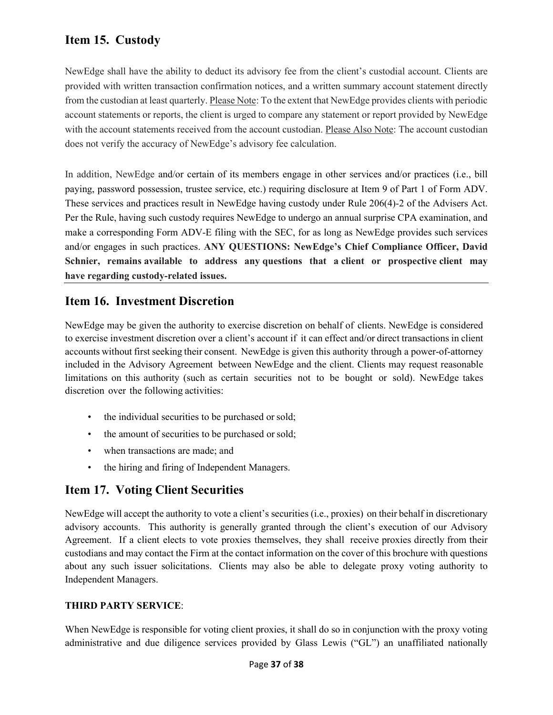# <span id="page-36-0"></span>**Item 15. Custody**

NewEdge shall have the ability to deduct its advisory fee from the client's custodial account. Clients are provided with written transaction confirmation notices, and a written summary account statement directly from the custodian at least quarterly. Please Note: To the extent that NewEdge provides clients with periodic account statements or reports, the client is urged to compare any statement or report provided by NewEdge with the account statements received from the account custodian. Please Also Note: The account custodian does not verify the accuracy of NewEdge's advisory fee calculation.

In addition, NewEdge and/or certain of its members engage in other services and/or practices (i.e., bill paying, password possession, trustee service, etc.) requiring disclosure at Item 9 of Part 1 of Form ADV. These services and practices result in NewEdge having custody under Rule 206(4)-2 of the Advisers Act. Per the Rule, having such custody requires NewEdge to undergo an annual surprise CPA examination, and make a corresponding Form ADV-E filing with the SEC, for as long as NewEdge provides such services and/or engages in such practices. **ANY QUESTIONS: NewEdge's Chief Compliance Officer, David Schnier, remains available to address any questions that a client or prospective client may have regarding custody-related issues.**

# <span id="page-36-1"></span>**Item 16. Investment Discretion**

NewEdge may be given the authority to exercise discretion on behalf of clients. NewEdge is considered to exercise investment discretion over a client's account if it can effect and/or direct transactions in client accounts without first seeking their consent. NewEdge is given this authority through a power-of-attorney included in the Advisory Agreement between NewEdge and the client. Clients may request reasonable limitations on this authority (such as certain securities not to be bought or sold). NewEdge takes discretion over the following activities:

- the individual securities to be purchased or sold;
- the amount of securities to be purchased or sold;
- when transactions are made; and
- the hiring and firing of Independent Managers.

# <span id="page-36-2"></span>**Item 17. Voting Client Securities**

NewEdge will accept the authority to vote a client's securities (i.e., proxies) on their behalf in discretionary advisory accounts. This authority is generally granted through the client's execution of our Advisory Agreement. If a client elects to vote proxies themselves, they shall receive proxies directly from their custodians and may contact the Firm at the contact information on the cover of this brochure with questions about any such issuer solicitations. Clients may also be able to delegate proxy voting authority to Independent Managers.

# **THIRD PARTY SERVICE**:

When NewEdge is responsible for voting client proxies, it shall do so in conjunction with the proxy voting administrative and due diligence services provided by Glass Lewis ("GL") an unaffiliated nationally